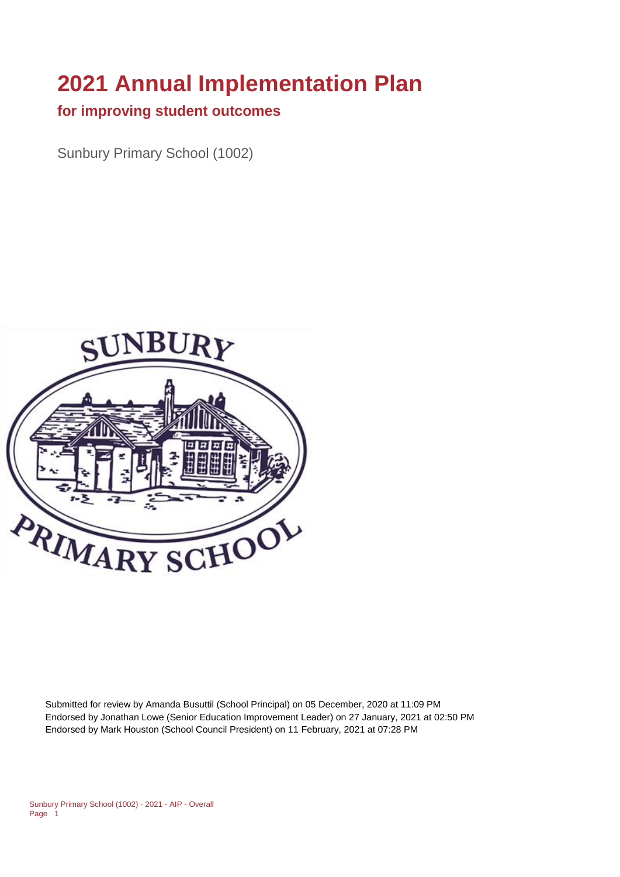# **2021 Annual Implementation Plan**

#### **for improving student outcomes**

Sunbury Primary School (1002)



Submitted for review by Amanda Busuttil (School Principal) on 05 December, 2020 at 11:09 PM Endorsed by Jonathan Lowe (Senior Education Improvement Leader) on 27 January, 2021 at 02:50 PM Endorsed by Mark Houston (School Council President) on 11 February, 2021 at 07:28 PM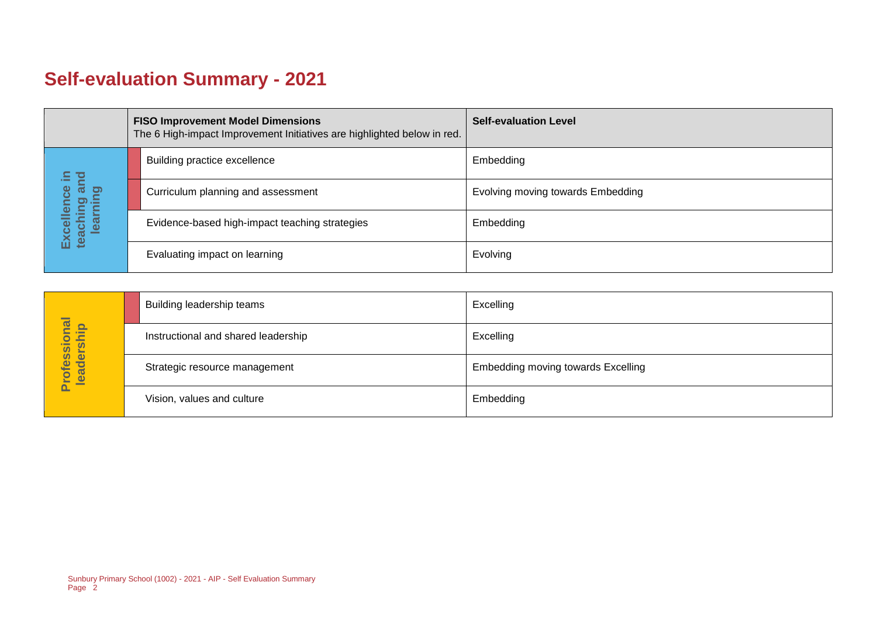# **Self-evaluation Summary - 2021**

| <b>FISO Improvement Model Dimensions</b><br>The 6 High-impact Improvement Initiatives are highlighted below in red. |                                       |  | <b>Self-evaluation Level</b>                   |                                   |
|---------------------------------------------------------------------------------------------------------------------|---------------------------------------|--|------------------------------------------------|-----------------------------------|
|                                                                                                                     |                                       |  | Building practice excellence                   | Embedding                         |
|                                                                                                                     | bure<br>sta<br>ence                   |  | Curriculum planning and assessment             | Evolving moving towards Embedding |
|                                                                                                                     | Excellence<br>teaching ar<br>learning |  | Evidence-based high-impact teaching strategies | Embedding                         |
|                                                                                                                     |                                       |  | Evaluating impact on learning                  | Evolving                          |

|                            | Building leadership teams           | Excelling                                 |
|----------------------------|-------------------------------------|-------------------------------------------|
|                            | Instructional and shared leadership | Excelling                                 |
| Professional<br>leadership | Strategic resource management       | <b>Embedding moving towards Excelling</b> |
|                            | Vision, values and culture          | Embedding                                 |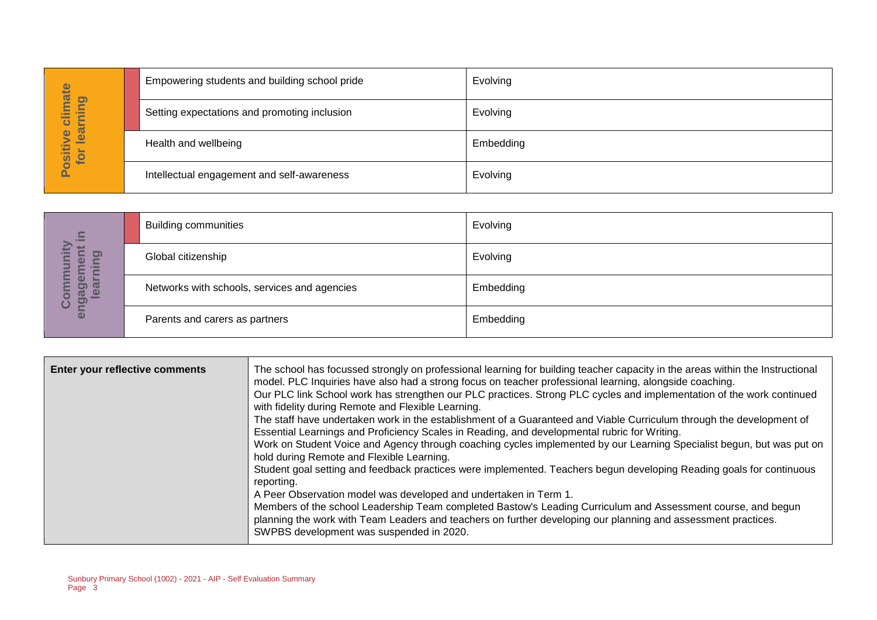| imate                               | Empowering students and building school pride | Evolving  |
|-------------------------------------|-----------------------------------------------|-----------|
| <b>gui</b><br>ပ                     | Setting expectations and promoting inclusion  | Evolving  |
| learn<br>$\bullet$<br>ositiv<br>for | Health and wellbeing                          | Embedding |
|                                     | Intellectual engagement and self-awareness    | Evolving  |

| $\Xi$                               | <b>Building communities</b>                  | Evolving  |
|-------------------------------------|----------------------------------------------|-----------|
| <u>ත</u><br>$\omega$<br>≔           | Global citizenship                           | Evolving  |
| ō<br>ן כ<br>enga<br>$\bullet$<br>ပိ | Networks with schools, services and agencies | Embedding |
|                                     | Parents and carers as partners               | Embedding |

| Positive climate<br>for learning   |                                                                      | Setting expectations and promoting inclusion                                                                                                                                                                                  | Evolving                                                                                                                                                                                                                                                                                                                                                                                                                                                                                                                                                                                                                                                                                                                                                                                                                                                                                                                                                                                                                                                                    |
|------------------------------------|----------------------------------------------------------------------|-------------------------------------------------------------------------------------------------------------------------------------------------------------------------------------------------------------------------------|-----------------------------------------------------------------------------------------------------------------------------------------------------------------------------------------------------------------------------------------------------------------------------------------------------------------------------------------------------------------------------------------------------------------------------------------------------------------------------------------------------------------------------------------------------------------------------------------------------------------------------------------------------------------------------------------------------------------------------------------------------------------------------------------------------------------------------------------------------------------------------------------------------------------------------------------------------------------------------------------------------------------------------------------------------------------------------|
|                                    | Health and wellbeing                                                 |                                                                                                                                                                                                                               | Embedding                                                                                                                                                                                                                                                                                                                                                                                                                                                                                                                                                                                                                                                                                                                                                                                                                                                                                                                                                                                                                                                                   |
|                                    |                                                                      | Intellectual engagement and self-awareness                                                                                                                                                                                    | Evolving                                                                                                                                                                                                                                                                                                                                                                                                                                                                                                                                                                                                                                                                                                                                                                                                                                                                                                                                                                                                                                                                    |
|                                    |                                                                      |                                                                                                                                                                                                                               |                                                                                                                                                                                                                                                                                                                                                                                                                                                                                                                                                                                                                                                                                                                                                                                                                                                                                                                                                                                                                                                                             |
| ≘.                                 | <b>Building communities</b>                                          |                                                                                                                                                                                                                               | Evolving                                                                                                                                                                                                                                                                                                                                                                                                                                                                                                                                                                                                                                                                                                                                                                                                                                                                                                                                                                                                                                                                    |
| Community<br>engagement<br>earning | Global citizenship                                                   |                                                                                                                                                                                                                               | Evolving                                                                                                                                                                                                                                                                                                                                                                                                                                                                                                                                                                                                                                                                                                                                                                                                                                                                                                                                                                                                                                                                    |
|                                    |                                                                      | Networks with schools, services and agencies                                                                                                                                                                                  | Embedding                                                                                                                                                                                                                                                                                                                                                                                                                                                                                                                                                                                                                                                                                                                                                                                                                                                                                                                                                                                                                                                                   |
|                                    | Parents and carers as partners                                       |                                                                                                                                                                                                                               | Embedding                                                                                                                                                                                                                                                                                                                                                                                                                                                                                                                                                                                                                                                                                                                                                                                                                                                                                                                                                                                                                                                                   |
|                                    |                                                                      |                                                                                                                                                                                                                               |                                                                                                                                                                                                                                                                                                                                                                                                                                                                                                                                                                                                                                                                                                                                                                                                                                                                                                                                                                                                                                                                             |
|                                    | Enter your reflective comments                                       | with fidelity during Remote and Flexible Learning.<br>hold during Remote and Flexible Learning.<br>reporting.<br>A Peer Observation model was developed and undertaken in Term 1.<br>SWPBS development was suspended in 2020. | The school has focussed strongly on professional learning for building teacher capacity in the areas within the Instructional<br>model. PLC Inquiries have also had a strong focus on teacher professional learning, alongside coaching.<br>Our PLC link School work has strengthen our PLC practices. Strong PLC cycles and implementation of the work continued<br>The staff have undertaken work in the establishment of a Guaranteed and Viable Curriculum through the development of<br>Essential Learnings and Proficiency Scales in Reading, and developmental rubric for Writing.<br>Work on Student Voice and Agency through coaching cycles implemented by our Learning Specialist begun, but was put on<br>Student goal setting and feedback practices were implemented. Teachers begun developing Reading goals for continuous<br>Members of the school Leadership Team completed Bastow's Leading Curriculum and Assessment course, and begun<br>planning the work with Team Leaders and teachers on further developing our planning and assessment practices. |
| Page 3                             | Sunbury Primary School (1002) - 2021 - AIP - Self Evaluation Summary |                                                                                                                                                                                                                               |                                                                                                                                                                                                                                                                                                                                                                                                                                                                                                                                                                                                                                                                                                                                                                                                                                                                                                                                                                                                                                                                             |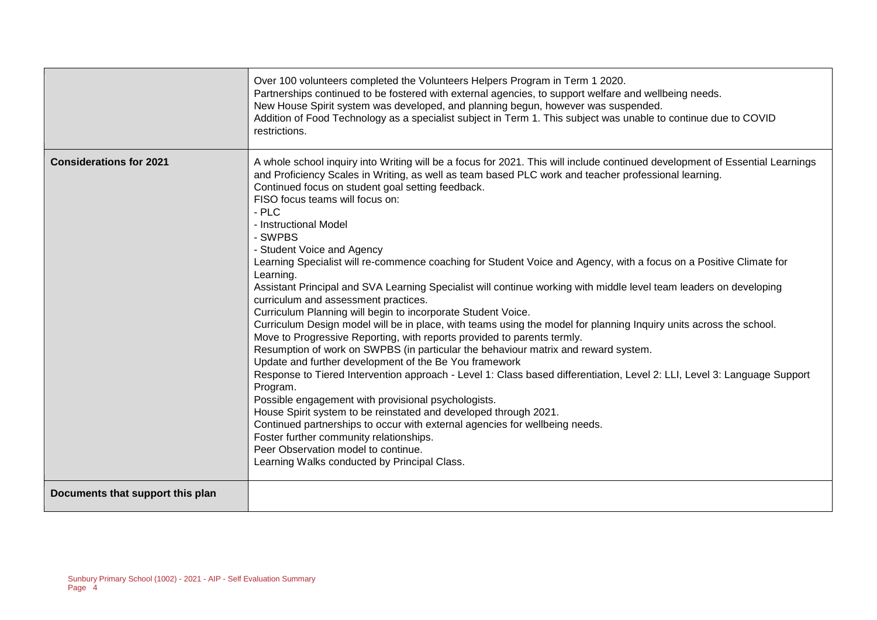|                                  | Over 100 volunteers completed the Volunteers Helpers Program in Term 1 2020.<br>Partnerships continued to be fostered with external agencies, to support welfare and wellbeing needs.<br>New House Spirit system was developed, and planning begun, however was suspended.<br>Addition of Food Technology as a specialist subject in Term 1. This subject was unable to continue due to COVID<br>restrictions.                                                                                                                                                                                                                                                                                                                                                                                                                                                                                                                                                                                                                                                                                                                                                                                                                                                                                                                                                                                                                                                                                                                                                                                                  |
|----------------------------------|-----------------------------------------------------------------------------------------------------------------------------------------------------------------------------------------------------------------------------------------------------------------------------------------------------------------------------------------------------------------------------------------------------------------------------------------------------------------------------------------------------------------------------------------------------------------------------------------------------------------------------------------------------------------------------------------------------------------------------------------------------------------------------------------------------------------------------------------------------------------------------------------------------------------------------------------------------------------------------------------------------------------------------------------------------------------------------------------------------------------------------------------------------------------------------------------------------------------------------------------------------------------------------------------------------------------------------------------------------------------------------------------------------------------------------------------------------------------------------------------------------------------------------------------------------------------------------------------------------------------|
| <b>Considerations for 2021</b>   | A whole school inquiry into Writing will be a focus for 2021. This will include continued development of Essential Learnings<br>and Proficiency Scales in Writing, as well as team based PLC work and teacher professional learning.<br>Continued focus on student goal setting feedback.<br>FISO focus teams will focus on:<br>$-$ PLC<br>- Instructional Model<br>- SWPBS<br>- Student Voice and Agency<br>Learning Specialist will re-commence coaching for Student Voice and Agency, with a focus on a Positive Climate for<br>Learning.<br>Assistant Principal and SVA Learning Specialist will continue working with middle level team leaders on developing<br>curriculum and assessment practices.<br>Curriculum Planning will begin to incorporate Student Voice.<br>Curriculum Design model will be in place, with teams using the model for planning Inquiry units across the school.<br>Move to Progressive Reporting, with reports provided to parents termly.<br>Resumption of work on SWPBS (in particular the behaviour matrix and reward system.<br>Update and further development of the Be You framework<br>Response to Tiered Intervention approach - Level 1: Class based differentiation, Level 2: LLI, Level 3: Language Support<br>Program.<br>Possible engagement with provisional psychologists.<br>House Spirit system to be reinstated and developed through 2021.<br>Continued partnerships to occur with external agencies for wellbeing needs.<br>Foster further community relationships.<br>Peer Observation model to continue.<br>Learning Walks conducted by Principal Class. |
| Documents that support this plan |                                                                                                                                                                                                                                                                                                                                                                                                                                                                                                                                                                                                                                                                                                                                                                                                                                                                                                                                                                                                                                                                                                                                                                                                                                                                                                                                                                                                                                                                                                                                                                                                                 |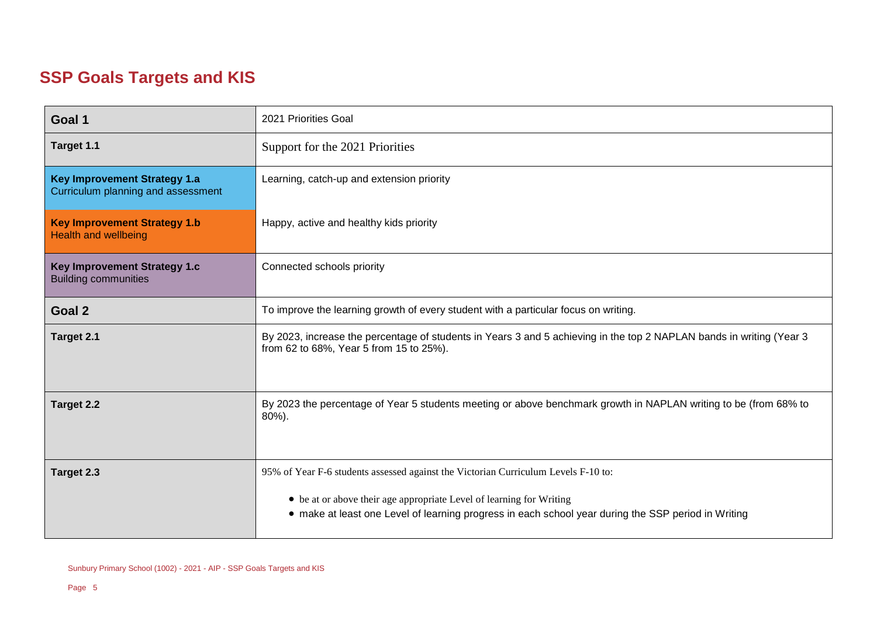# **SSP Goals Targets and KIS**

| Goal 1                                                                    | 2021 Priorities Goal                                                                                                                                            |  |  |
|---------------------------------------------------------------------------|-----------------------------------------------------------------------------------------------------------------------------------------------------------------|--|--|
| Target 1.1                                                                | Support for the 2021 Priorities                                                                                                                                 |  |  |
| <b>Key Improvement Strategy 1.a</b><br>Curriculum planning and assessment | Learning, catch-up and extension priority                                                                                                                       |  |  |
| <b>Key Improvement Strategy 1.b</b><br><b>Health and wellbeing</b>        | Happy, active and healthy kids priority                                                                                                                         |  |  |
| Key Improvement Strategy 1.c<br><b>Building communities</b>               | Connected schools priority                                                                                                                                      |  |  |
| Goal 2                                                                    | To improve the learning growth of every student with a particular focus on writing.                                                                             |  |  |
| Target 2.1                                                                | By 2023, increase the percentage of students in Years 3 and 5 achieving in the top 2 NAPLAN bands in writing (Year 3<br>from 62 to 68%, Year 5 from 15 to 25%). |  |  |
| Target 2.2                                                                | By 2023 the percentage of Year 5 students meeting or above benchmark growth in NAPLAN writing to be (from 68% to<br>80%).                                       |  |  |
| Target 2.3                                                                | 95% of Year F-6 students assessed against the Victorian Curriculum Levels F-10 to:<br>• be at or above their age appropriate Level of learning for Writing      |  |  |
|                                                                           | • make at least one Level of learning progress in each school year during the SSP period in Writing                                                             |  |  |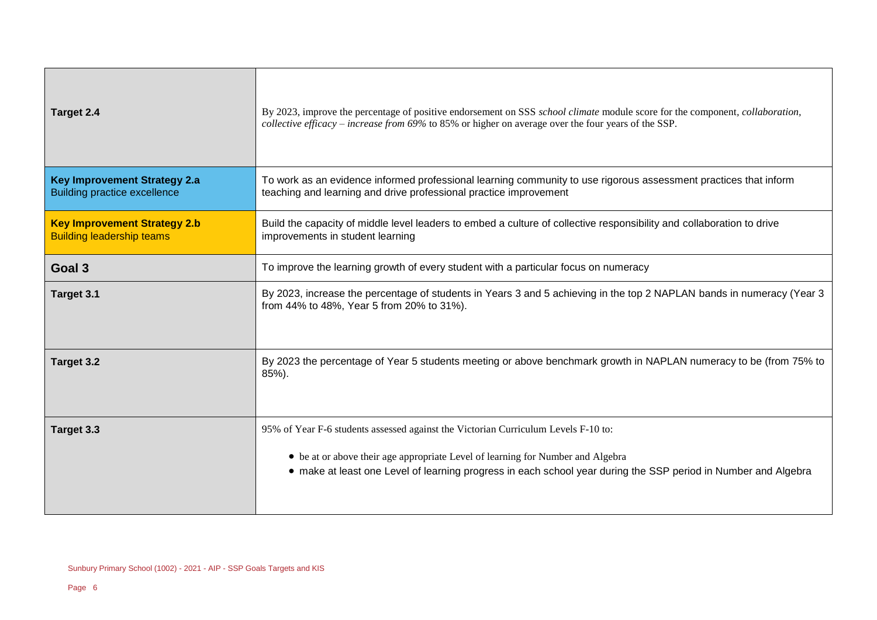| Target 2.4                                                                 | By 2023, improve the percentage of positive endorsement on SSS school climate module score for the component, collaboration,<br>collective efficacy – increase from 69% to 85% or higher on average over the four years of the SSP. |  |
|----------------------------------------------------------------------------|-------------------------------------------------------------------------------------------------------------------------------------------------------------------------------------------------------------------------------------|--|
| <b>Key Improvement Strategy 2.a</b><br><b>Building practice excellence</b> | To work as an evidence informed professional learning community to use rigorous assessment practices that inform<br>teaching and learning and drive professional practice improvement                                               |  |
| <b>Key Improvement Strategy 2.b</b><br><b>Building leadership teams</b>    | Build the capacity of middle level leaders to embed a culture of collective responsibility and collaboration to drive<br>improvements in student learning                                                                           |  |
| Goal 3                                                                     | To improve the learning growth of every student with a particular focus on numeracy                                                                                                                                                 |  |
| Target 3.1                                                                 | By 2023, increase the percentage of students in Years 3 and 5 achieving in the top 2 NAPLAN bands in numeracy (Year 3<br>from 44% to 48%, Year 5 from 20% to 31%).                                                                  |  |
| Target 3.2                                                                 | By 2023 the percentage of Year 5 students meeting or above benchmark growth in NAPLAN numeracy to be (from 75% to<br>85%).                                                                                                          |  |
| Target 3.3                                                                 | 95% of Year F-6 students assessed against the Victorian Curriculum Levels F-10 to:                                                                                                                                                  |  |
|                                                                            | • be at or above their age appropriate Level of learning for Number and Algebra<br>• make at least one Level of learning progress in each school year during the SSP period in Number and Algebra                                   |  |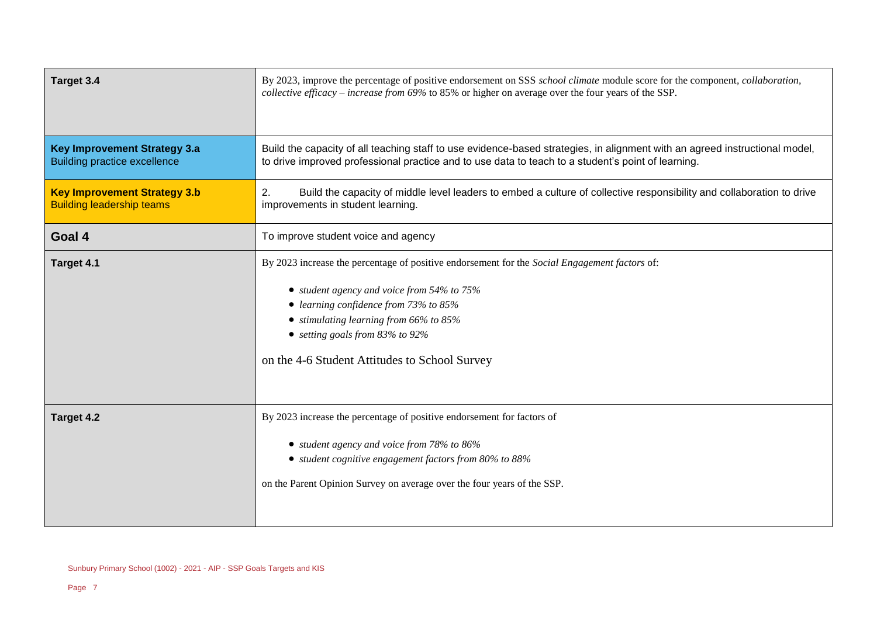| Target 3.4                                                                 | By 2023, improve the percentage of positive endorsement on SSS school climate module score for the component, collaboration,<br>collective efficacy – increase from 69% to 85% or higher on average over the four years of the SSP.                                                                                            |  |
|----------------------------------------------------------------------------|--------------------------------------------------------------------------------------------------------------------------------------------------------------------------------------------------------------------------------------------------------------------------------------------------------------------------------|--|
| <b>Key Improvement Strategy 3.a</b><br><b>Building practice excellence</b> | Build the capacity of all teaching staff to use evidence-based strategies, in alignment with an agreed instructional model,<br>to drive improved professional practice and to use data to teach to a student's point of learning.                                                                                              |  |
| <b>Key Improvement Strategy 3.b</b><br><b>Building leadership teams</b>    | Build the capacity of middle level leaders to embed a culture of collective responsibility and collaboration to drive<br>2.<br>improvements in student learning.                                                                                                                                                               |  |
| Goal 4                                                                     | To improve student voice and agency                                                                                                                                                                                                                                                                                            |  |
| Target 4.1                                                                 | By 2023 increase the percentage of positive endorsement for the Social Engagement factors of:<br>• student agency and voice from 54% to 75%<br>• learning confidence from 73% to 85%<br>• stimulating learning from $66\%$ to $85\%$<br>• setting goals from $83\%$ to $92\%$<br>on the 4-6 Student Attitudes to School Survey |  |
| Target 4.2                                                                 | By 2023 increase the percentage of positive endorsement for factors of<br>• student agency and voice from 78% to 86%<br>• student cognitive engagement factors from 80% to 88%<br>on the Parent Opinion Survey on average over the four years of the SSP.                                                                      |  |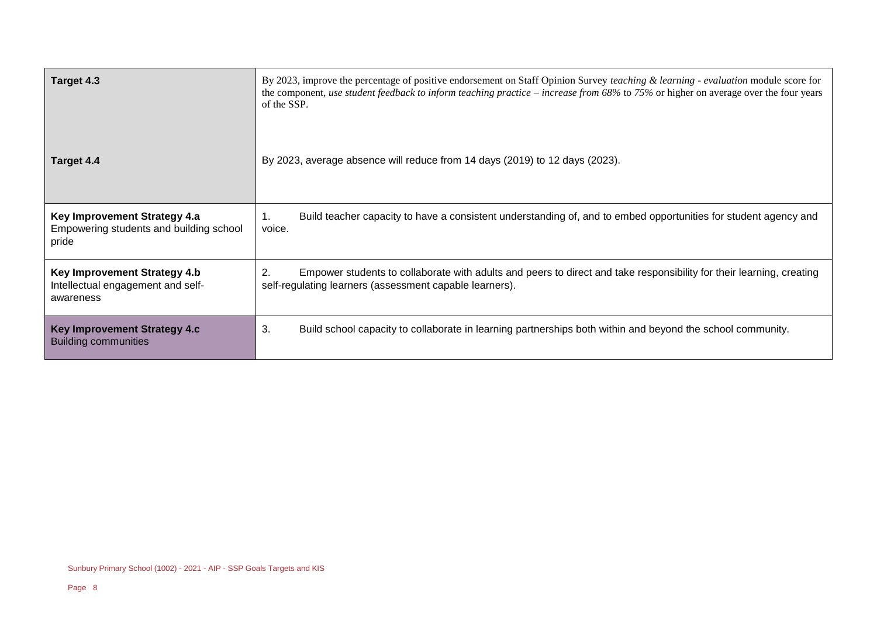| Target 4.3                                                                       | By 2023, improve the percentage of positive endorsement on Staff Opinion Survey teaching & learning - evaluation module score for<br>the component, use student feedback to inform teaching practice – increase from $68\%$ to $75\%$ or higher on average over the four years<br>of the SSP. |  |  |
|----------------------------------------------------------------------------------|-----------------------------------------------------------------------------------------------------------------------------------------------------------------------------------------------------------------------------------------------------------------------------------------------|--|--|
| Target 4.4                                                                       | By 2023, average absence will reduce from 14 days (2019) to 12 days (2023).                                                                                                                                                                                                                   |  |  |
| Key Improvement Strategy 4.a<br>Empowering students and building school<br>pride | Build teacher capacity to have a consistent understanding of, and to embed opportunities for student agency and<br>voice.                                                                                                                                                                     |  |  |
| Key Improvement Strategy 4.b<br>Intellectual engagement and self-<br>awareness   | 2.<br>Empower students to collaborate with adults and peers to direct and take responsibility for their learning, creating<br>self-regulating learners (assessment capable learners).                                                                                                         |  |  |
| Key Improvement Strategy 4.c<br><b>Building communities</b>                      | 3.<br>Build school capacity to collaborate in learning partnerships both within and beyond the school community.                                                                                                                                                                              |  |  |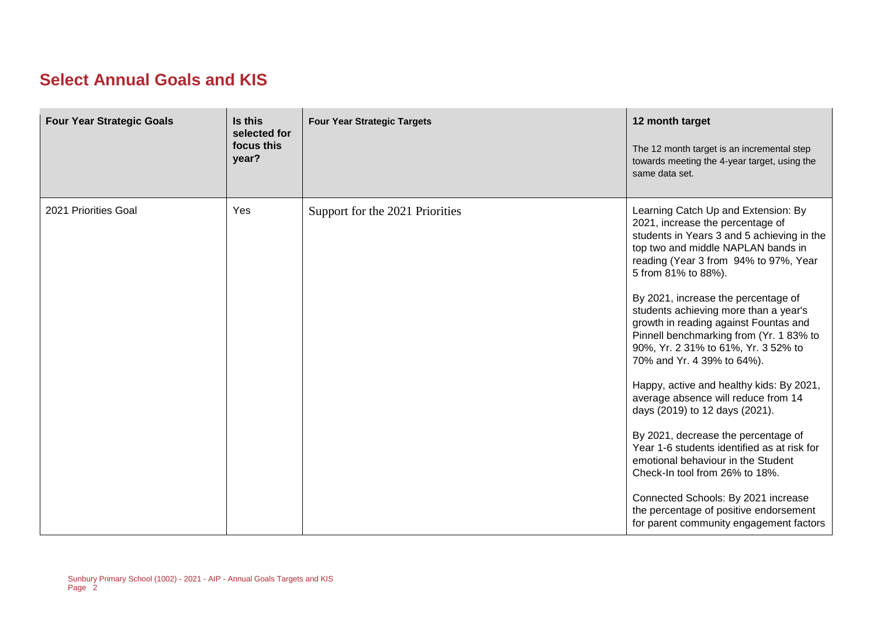#### **Select Annual Goals and KIS**

| <b>Four Year Strategic Goals</b> | Is this<br>selected for<br>focus this<br>year? | <b>Four Year Strategic Targets</b> | 12 month target<br>The 12 month target is an incremental step<br>towards meeting the 4-year target, using the<br>same data set.                                                                                                      |
|----------------------------------|------------------------------------------------|------------------------------------|--------------------------------------------------------------------------------------------------------------------------------------------------------------------------------------------------------------------------------------|
| 2021 Priorities Goal             | Yes                                            | Support for the 2021 Priorities    | Learning Catch Up and Extension: By<br>2021, increase the percentage of<br>students in Years 3 and 5 achieving in the<br>top two and middle NAPLAN bands in<br>reading (Year 3 from 94% to 97%, Year<br>5 from 81% to 88%).          |
|                                  |                                                |                                    | By 2021, increase the percentage of<br>students achieving more than a year's<br>growth in reading against Fountas and<br>Pinnell benchmarking from (Yr. 183% to<br>90%, Yr. 2 31% to 61%, Yr. 3 52% to<br>70% and Yr. 4 39% to 64%). |
|                                  |                                                |                                    | Happy, active and healthy kids: By 2021,<br>average absence will reduce from 14<br>days (2019) to 12 days (2021).                                                                                                                    |
|                                  |                                                |                                    | By 2021, decrease the percentage of<br>Year 1-6 students identified as at risk for<br>emotional behaviour in the Student<br>Check-In tool from 26% to 18%.                                                                           |
|                                  |                                                |                                    | Connected Schools: By 2021 increase<br>the percentage of positive endorsement<br>for parent community engagement factors                                                                                                             |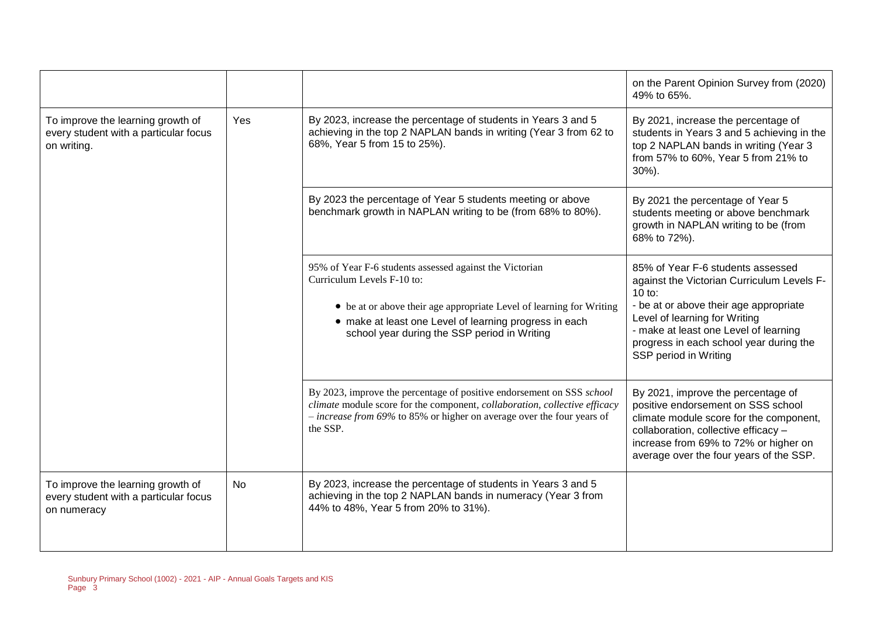|                                                                                           |           |                                                                                                                                                                                                                                                                         | on the Parent Opinion Survey from (2020)<br>49% to 65%.                                                                                                                                                                                                                             |
|-------------------------------------------------------------------------------------------|-----------|-------------------------------------------------------------------------------------------------------------------------------------------------------------------------------------------------------------------------------------------------------------------------|-------------------------------------------------------------------------------------------------------------------------------------------------------------------------------------------------------------------------------------------------------------------------------------|
| To improve the learning growth of<br>every student with a particular focus<br>on writing. | Yes       | By 2023, increase the percentage of students in Years 3 and 5<br>achieving in the top 2 NAPLAN bands in writing (Year 3 from 62 to<br>68%, Year 5 from 15 to 25%).                                                                                                      | By 2021, increase the percentage of<br>students in Years 3 and 5 achieving in the<br>top 2 NAPLAN bands in writing (Year 3<br>from 57% to 60%, Year 5 from 21% to<br>$30\%$ ).                                                                                                      |
|                                                                                           |           | By 2023 the percentage of Year 5 students meeting or above<br>benchmark growth in NAPLAN writing to be (from 68% to 80%).                                                                                                                                               | By 2021 the percentage of Year 5<br>students meeting or above benchmark<br>growth in NAPLAN writing to be (from<br>68% to 72%).                                                                                                                                                     |
|                                                                                           |           | 95% of Year F-6 students assessed against the Victorian<br>Curriculum Levels F-10 to:<br>• be at or above their age appropriate Level of learning for Writing<br>• make at least one Level of learning progress in each<br>school year during the SSP period in Writing | 85% of Year F-6 students assessed<br>against the Victorian Curriculum Levels F-<br>$10$ to:<br>- be at or above their age appropriate<br>Level of learning for Writing<br>- make at least one Level of learning<br>progress in each school year during the<br>SSP period in Writing |
|                                                                                           |           | By 2023, improve the percentage of positive endorsement on SSS school<br>climate module score for the component, collaboration, collective efficacy<br>$-$ <i>increase from 69%</i> to 85% or higher on average over the four years of<br>the SSP.                      | By 2021, improve the percentage of<br>positive endorsement on SSS school<br>climate module score for the component,<br>collaboration, collective efficacy -<br>increase from 69% to 72% or higher on<br>average over the four years of the SSP.                                     |
| To improve the learning growth of<br>every student with a particular focus<br>on numeracy | <b>No</b> | By 2023, increase the percentage of students in Years 3 and 5<br>achieving in the top 2 NAPLAN bands in numeracy (Year 3 from<br>44% to 48%, Year 5 from 20% to 31%).                                                                                                   |                                                                                                                                                                                                                                                                                     |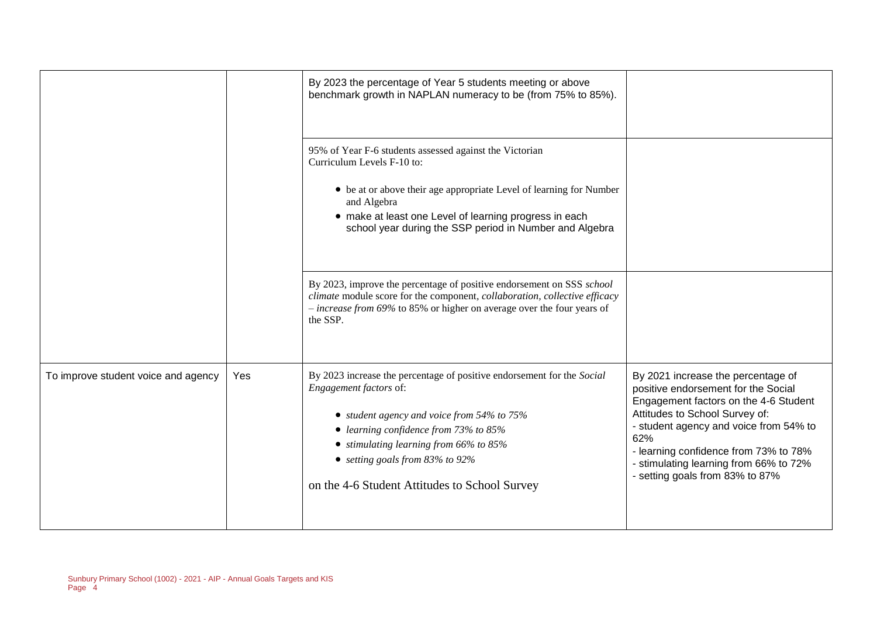|                                     |            | By 2023 the percentage of Year 5 students meeting or above<br>benchmark growth in NAPLAN numeracy to be (from 75% to 85%).                                                                                                                                                                                                    |                                                                                                                                                                                                                                                                                                                             |
|-------------------------------------|------------|-------------------------------------------------------------------------------------------------------------------------------------------------------------------------------------------------------------------------------------------------------------------------------------------------------------------------------|-----------------------------------------------------------------------------------------------------------------------------------------------------------------------------------------------------------------------------------------------------------------------------------------------------------------------------|
|                                     |            | 95% of Year F-6 students assessed against the Victorian<br>Curriculum Levels F-10 to:<br>• be at or above their age appropriate Level of learning for Number<br>and Algebra<br>• make at least one Level of learning progress in each<br>school year during the SSP period in Number and Algebra                              |                                                                                                                                                                                                                                                                                                                             |
|                                     |            | By 2023, improve the percentage of positive endorsement on SSS school<br>climate module score for the component, collaboration, collective efficacy<br>$-$ <i>increase from 69%</i> to 85% or higher on average over the four years of<br>the SSP.                                                                            |                                                                                                                                                                                                                                                                                                                             |
| To improve student voice and agency | <b>Yes</b> | By 2023 increase the percentage of positive endorsement for the Social<br>Engagement factors of:<br>• student agency and voice from 54% to 75%<br>• learning confidence from 73% to 85%<br>$\bullet$ stimulating learning from 66% to 85%<br>• setting goals from 83% to 92%<br>on the 4-6 Student Attitudes to School Survey | By 2021 increase the percentage of<br>positive endorsement for the Social<br>Engagement factors on the 4-6 Student<br>Attitudes to School Survey of:<br>- student agency and voice from 54% to<br>62%<br>- learning confidence from 73% to 78%<br>- stimulating learning from 66% to 72%<br>- setting goals from 83% to 87% |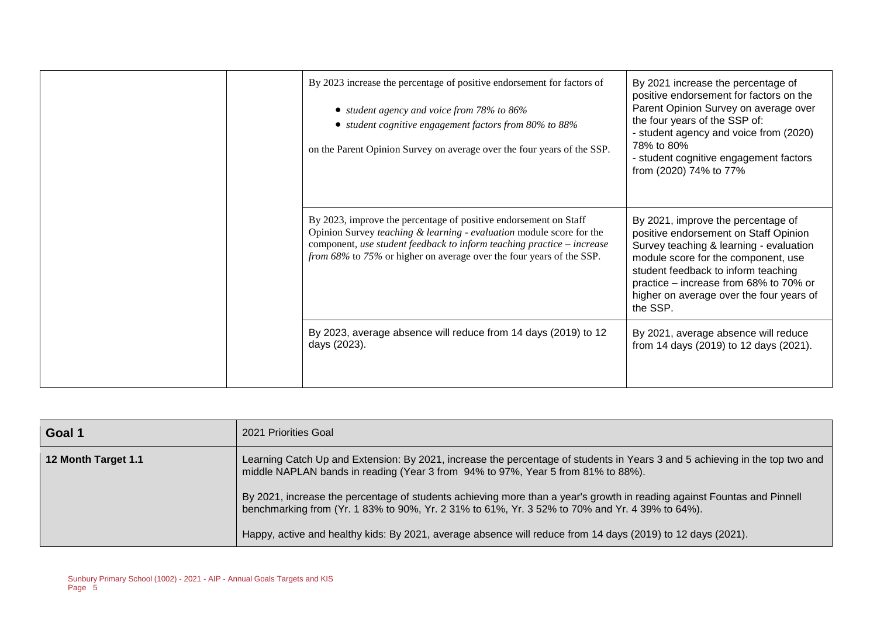| By 2023 increase the percentage of positive endorsement for factors of<br>• student agency and voice from 78% to 86%<br>• student cognitive engagement factors from 80% to 88%<br>on the Parent Opinion Survey on average over the four years of the SSP.                                     | By 2021 increase the percentage of<br>positive endorsement for factors on the<br>Parent Opinion Survey on average over<br>the four years of the SSP of:<br>- student agency and voice from (2020)<br>78% to 80%<br>- student cognitive engagement factors<br>from (2020) 74% to 77%                    |
|-----------------------------------------------------------------------------------------------------------------------------------------------------------------------------------------------------------------------------------------------------------------------------------------------|--------------------------------------------------------------------------------------------------------------------------------------------------------------------------------------------------------------------------------------------------------------------------------------------------------|
| By 2023, improve the percentage of positive endorsement on Staff<br>Opinion Survey teaching $\&$ learning - evaluation module score for the<br>component, use student feedback to inform teaching practice - increase<br>from 68% to 75% or higher on average over the four years of the SSP. | By 2021, improve the percentage of<br>positive endorsement on Staff Opinion<br>Survey teaching & learning - evaluation<br>module score for the component, use<br>student feedback to inform teaching<br>practice - increase from 68% to 70% or<br>higher on average over the four years of<br>the SSP. |
| By 2023, average absence will reduce from 14 days (2019) to 12<br>days (2023).                                                                                                                                                                                                                | By 2021, average absence will reduce<br>from 14 days (2019) to 12 days (2021).                                                                                                                                                                                                                         |

| Goal 1              | 2021 Priorities Goal                                                                                                                                                                                                      |
|---------------------|---------------------------------------------------------------------------------------------------------------------------------------------------------------------------------------------------------------------------|
| 12 Month Target 1.1 | Learning Catch Up and Extension: By 2021, increase the percentage of students in Years 3 and 5 achieving in the top two and<br>middle NAPLAN bands in reading (Year 3 from 94% to 97%, Year 5 from 81% to 88%).           |
|                     | By 2021, increase the percentage of students achieving more than a year's growth in reading against Fountas and Pinnell<br>benchmarking from (Yr. 1 83% to 90%, Yr. 2 31% to 61%, Yr. 3 52% to 70% and Yr. 4 39% to 64%). |
|                     | Happy, active and healthy kids: By 2021, average absence will reduce from 14 days (2019) to 12 days (2021).                                                                                                               |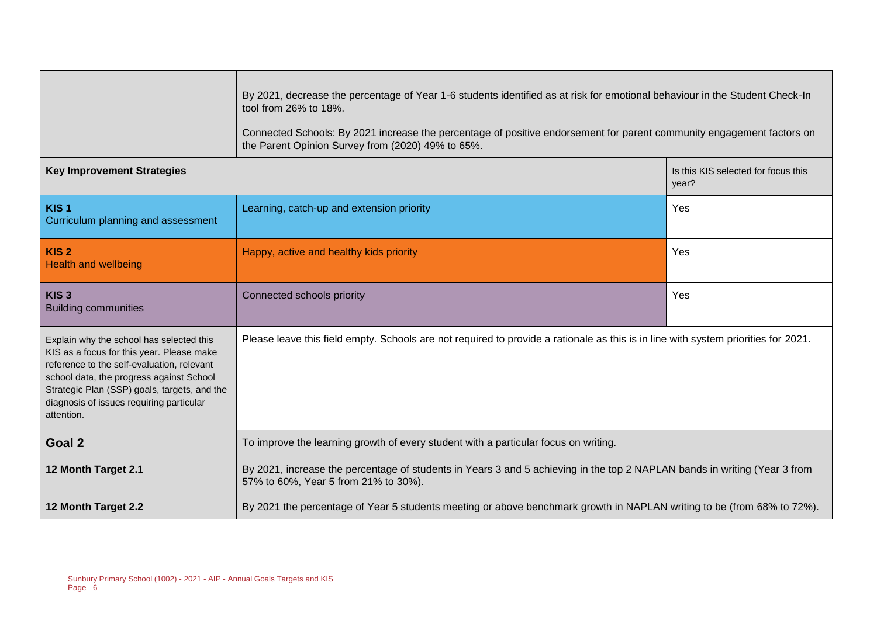|                                                                                                                                                                                                                                                                                           | By 2021, decrease the percentage of Year 1-6 students identified as at risk for emotional behaviour in the Student Check-In<br>tool from 26% to 18%.<br>Connected Schools: By 2021 increase the percentage of positive endorsement for parent community engagement factors on<br>the Parent Opinion Survey from (2020) 49% to 65%. |                                              |  |  |
|-------------------------------------------------------------------------------------------------------------------------------------------------------------------------------------------------------------------------------------------------------------------------------------------|------------------------------------------------------------------------------------------------------------------------------------------------------------------------------------------------------------------------------------------------------------------------------------------------------------------------------------|----------------------------------------------|--|--|
| <b>Key Improvement Strategies</b>                                                                                                                                                                                                                                                         |                                                                                                                                                                                                                                                                                                                                    | Is this KIS selected for focus this<br>year? |  |  |
| KIS <sub>1</sub><br>Curriculum planning and assessment                                                                                                                                                                                                                                    | Learning, catch-up and extension priority                                                                                                                                                                                                                                                                                          | Yes                                          |  |  |
| KIS <sub>2</sub><br><b>Health and wellbeing</b>                                                                                                                                                                                                                                           | Happy, active and healthy kids priority                                                                                                                                                                                                                                                                                            | Yes                                          |  |  |
| KIS <sub>3</sub><br><b>Building communities</b>                                                                                                                                                                                                                                           | Connected schools priority                                                                                                                                                                                                                                                                                                         | Yes                                          |  |  |
| Explain why the school has selected this<br>KIS as a focus for this year. Please make<br>reference to the self-evaluation, relevant<br>school data, the progress against School<br>Strategic Plan (SSP) goals, targets, and the<br>diagnosis of issues requiring particular<br>attention. | Please leave this field empty. Schools are not required to provide a rationale as this is in line with system priorities for 2021.                                                                                                                                                                                                 |                                              |  |  |
| Goal 2                                                                                                                                                                                                                                                                                    | To improve the learning growth of every student with a particular focus on writing.                                                                                                                                                                                                                                                |                                              |  |  |
| 12 Month Target 2.1                                                                                                                                                                                                                                                                       | By 2021, increase the percentage of students in Years 3 and 5 achieving in the top 2 NAPLAN bands in writing (Year 3 from<br>57% to 60%, Year 5 from 21% to 30%).                                                                                                                                                                  |                                              |  |  |
| 12 Month Target 2.2                                                                                                                                                                                                                                                                       | By 2021 the percentage of Year 5 students meeting or above benchmark growth in NAPLAN writing to be (from 68% to 72%).                                                                                                                                                                                                             |                                              |  |  |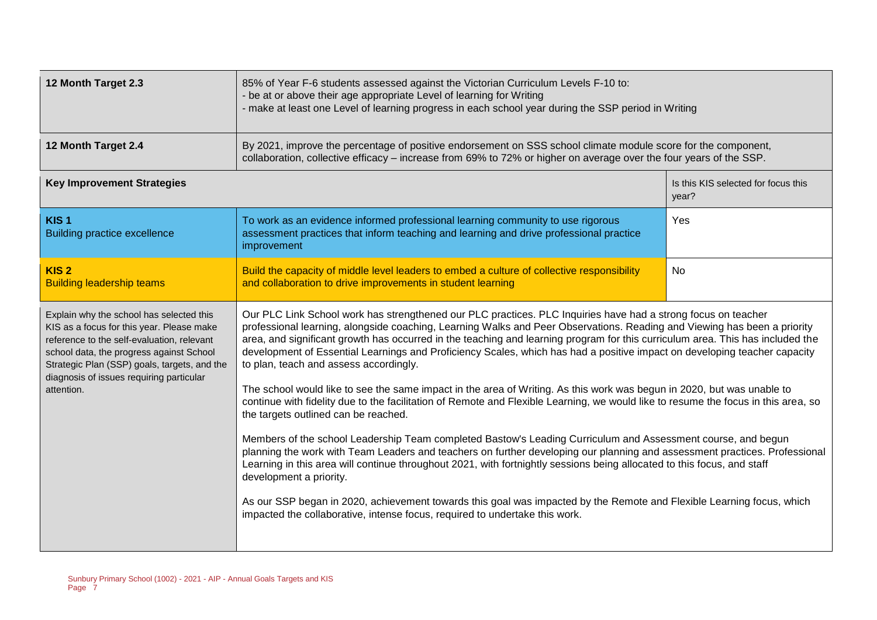| 12 Month Target 2.3                                                                                                                                                                                                                                                                       | 85% of Year F-6 students assessed against the Victorian Curriculum Levels F-10 to:<br>- be at or above their age appropriate Level of learning for Writing<br>- make at least one Level of learning progress in each school year during the SSP period in Writing                                                                                                                                                                                                                                                                                                                                                                                                                                                                                                                                                                                                                                                                                                                                                                                                                                                                                                                                                                                                                                                                                                                                                                                                      |                                              |  |  |
|-------------------------------------------------------------------------------------------------------------------------------------------------------------------------------------------------------------------------------------------------------------------------------------------|------------------------------------------------------------------------------------------------------------------------------------------------------------------------------------------------------------------------------------------------------------------------------------------------------------------------------------------------------------------------------------------------------------------------------------------------------------------------------------------------------------------------------------------------------------------------------------------------------------------------------------------------------------------------------------------------------------------------------------------------------------------------------------------------------------------------------------------------------------------------------------------------------------------------------------------------------------------------------------------------------------------------------------------------------------------------------------------------------------------------------------------------------------------------------------------------------------------------------------------------------------------------------------------------------------------------------------------------------------------------------------------------------------------------------------------------------------------------|----------------------------------------------|--|--|
| 12 Month Target 2.4                                                                                                                                                                                                                                                                       | By 2021, improve the percentage of positive endorsement on SSS school climate module score for the component,<br>collaboration, collective efficacy – increase from 69% to 72% or higher on average over the four years of the SSP.                                                                                                                                                                                                                                                                                                                                                                                                                                                                                                                                                                                                                                                                                                                                                                                                                                                                                                                                                                                                                                                                                                                                                                                                                                    |                                              |  |  |
| <b>Key Improvement Strategies</b>                                                                                                                                                                                                                                                         |                                                                                                                                                                                                                                                                                                                                                                                                                                                                                                                                                                                                                                                                                                                                                                                                                                                                                                                                                                                                                                                                                                                                                                                                                                                                                                                                                                                                                                                                        | Is this KIS selected for focus this<br>year? |  |  |
| KIS <sub>1</sub><br><b>Building practice excellence</b>                                                                                                                                                                                                                                   | To work as an evidence informed professional learning community to use rigorous<br>assessment practices that inform teaching and learning and drive professional practice<br>improvement                                                                                                                                                                                                                                                                                                                                                                                                                                                                                                                                                                                                                                                                                                                                                                                                                                                                                                                                                                                                                                                                                                                                                                                                                                                                               | Yes                                          |  |  |
| KIS <sub>2</sub><br><b>Building leadership teams</b>                                                                                                                                                                                                                                      | Build the capacity of middle level leaders to embed a culture of collective responsibility<br>No<br>and collaboration to drive improvements in student learning                                                                                                                                                                                                                                                                                                                                                                                                                                                                                                                                                                                                                                                                                                                                                                                                                                                                                                                                                                                                                                                                                                                                                                                                                                                                                                        |                                              |  |  |
| Explain why the school has selected this<br>KIS as a focus for this year. Please make<br>reference to the self-evaluation, relevant<br>school data, the progress against School<br>Strategic Plan (SSP) goals, targets, and the<br>diagnosis of issues requiring particular<br>attention. | Our PLC Link School work has strengthened our PLC practices. PLC Inquiries have had a strong focus on teacher<br>professional learning, alongside coaching, Learning Walks and Peer Observations. Reading and Viewing has been a priority<br>area, and significant growth has occurred in the teaching and learning program for this curriculum area. This has included the<br>development of Essential Learnings and Proficiency Scales, which has had a positive impact on developing teacher capacity<br>to plan, teach and assess accordingly.<br>The school would like to see the same impact in the area of Writing. As this work was begun in 2020, but was unable to<br>continue with fidelity due to the facilitation of Remote and Flexible Learning, we would like to resume the focus in this area, so<br>the targets outlined can be reached.<br>Members of the school Leadership Team completed Bastow's Leading Curriculum and Assessment course, and begun<br>planning the work with Team Leaders and teachers on further developing our planning and assessment practices. Professional<br>Learning in this area will continue throughout 2021, with fortnightly sessions being allocated to this focus, and staff<br>development a priority.<br>As our SSP began in 2020, achievement towards this goal was impacted by the Remote and Flexible Learning focus, which<br>impacted the collaborative, intense focus, required to undertake this work. |                                              |  |  |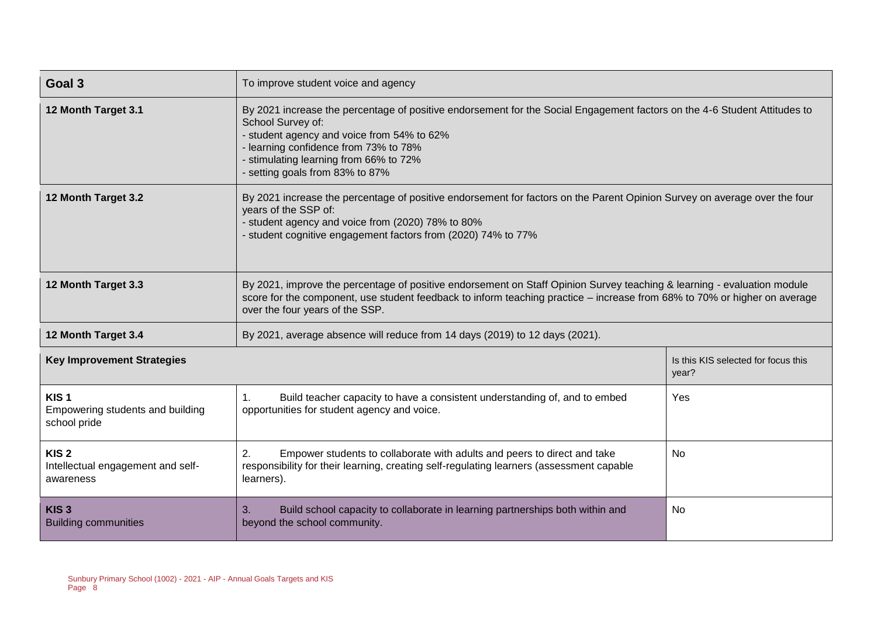| Goal 3                                                               | To improve student voice and agency                                                                                                                                                                                                                                                                              |                                              |  |  |
|----------------------------------------------------------------------|------------------------------------------------------------------------------------------------------------------------------------------------------------------------------------------------------------------------------------------------------------------------------------------------------------------|----------------------------------------------|--|--|
| 12 Month Target 3.1                                                  | By 2021 increase the percentage of positive endorsement for the Social Engagement factors on the 4-6 Student Attitudes to<br>School Survey of:<br>- student agency and voice from 54% to 62%<br>learning confidence from 73% to 78%<br>- stimulating learning from 66% to 72%<br>- setting goals from 83% to 87% |                                              |  |  |
| 12 Month Target 3.2                                                  | By 2021 increase the percentage of positive endorsement for factors on the Parent Opinion Survey on average over the four<br>years of the SSP of:<br>- student agency and voice from (2020) 78% to 80%<br>- student cognitive engagement factors from (2020) 74% to 77%                                          |                                              |  |  |
| 12 Month Target 3.3                                                  | By 2021, improve the percentage of positive endorsement on Staff Opinion Survey teaching & learning - evaluation module<br>score for the component, use student feedback to inform teaching practice – increase from 68% to 70% or higher on average<br>over the four years of the SSP.                          |                                              |  |  |
| 12 Month Target 3.4                                                  | By 2021, average absence will reduce from 14 days (2019) to 12 days (2021).                                                                                                                                                                                                                                      |                                              |  |  |
| <b>Key Improvement Strategies</b>                                    |                                                                                                                                                                                                                                                                                                                  | Is this KIS selected for focus this<br>year? |  |  |
| KIS <sub>1</sub><br>Empowering students and building<br>school pride | Build teacher capacity to have a consistent understanding of, and to embed<br>1.<br>opportunities for student agency and voice.                                                                                                                                                                                  | Yes                                          |  |  |
| KIS <sub>2</sub><br>Intellectual engagement and self-<br>awareness   | 2.<br>Empower students to collaborate with adults and peers to direct and take<br><b>No</b><br>responsibility for their learning, creating self-regulating learners (assessment capable<br>learners).                                                                                                            |                                              |  |  |
| KIS <sub>3</sub><br><b>Building communities</b>                      | Build school capacity to collaborate in learning partnerships both within and<br>3.<br>beyond the school community.                                                                                                                                                                                              | No.                                          |  |  |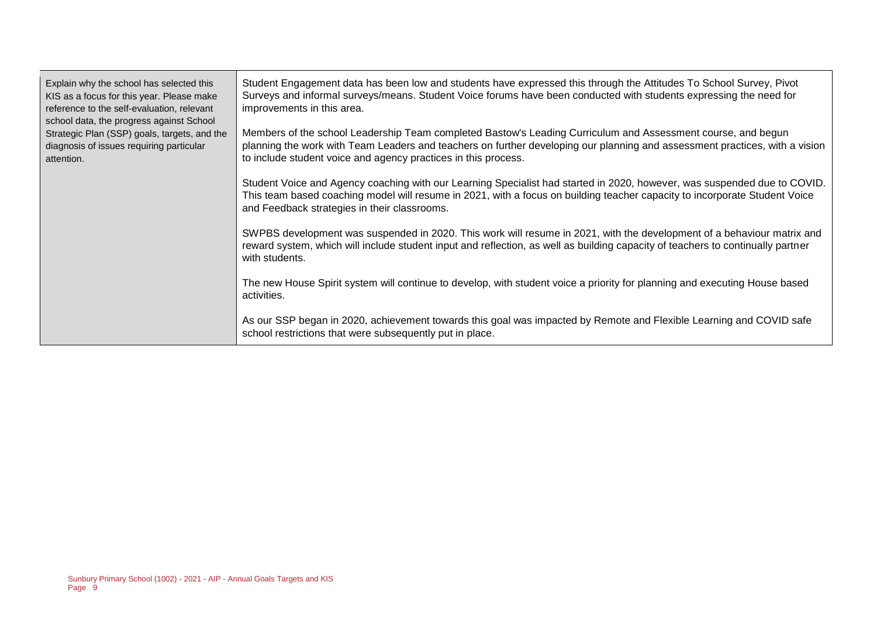| Explain why the school has selected this<br>KIS as a focus for this year. Please make<br>reference to the self-evaluation, relevant<br>school data, the progress against School<br>Strategic Plan (SSP) goals, targets, and the<br>diagnosis of issues requiring particular<br>attention. | Student Engagement data has been low and students have expressed this through the Attitudes To School Survey, Pivot<br>Surveys and informal surveys/means. Student Voice forums have been conducted with students expressing the need for<br>improvements in this area.                                       |
|-------------------------------------------------------------------------------------------------------------------------------------------------------------------------------------------------------------------------------------------------------------------------------------------|---------------------------------------------------------------------------------------------------------------------------------------------------------------------------------------------------------------------------------------------------------------------------------------------------------------|
|                                                                                                                                                                                                                                                                                           | Members of the school Leadership Team completed Bastow's Leading Curriculum and Assessment course, and begun<br>planning the work with Team Leaders and teachers on further developing our planning and assessment practices, with a vision<br>to include student voice and agency practices in this process. |
|                                                                                                                                                                                                                                                                                           | Student Voice and Agency coaching with our Learning Specialist had started in 2020, however, was suspended due to COVID.<br>This team based coaching model will resume in 2021, with a focus on building teacher capacity to incorporate Student Voice<br>and Feedback strategies in their classrooms.        |
|                                                                                                                                                                                                                                                                                           | SWPBS development was suspended in 2020. This work will resume in 2021, with the development of a behaviour matrix and<br>reward system, which will include student input and reflection, as well as building capacity of teachers to continually partner<br>with students.                                   |
|                                                                                                                                                                                                                                                                                           | The new House Spirit system will continue to develop, with student voice a priority for planning and executing House based<br>activities.                                                                                                                                                                     |
|                                                                                                                                                                                                                                                                                           | As our SSP began in 2020, achievement towards this goal was impacted by Remote and Flexible Learning and COVID safe<br>school restrictions that were subsequently put in place.                                                                                                                               |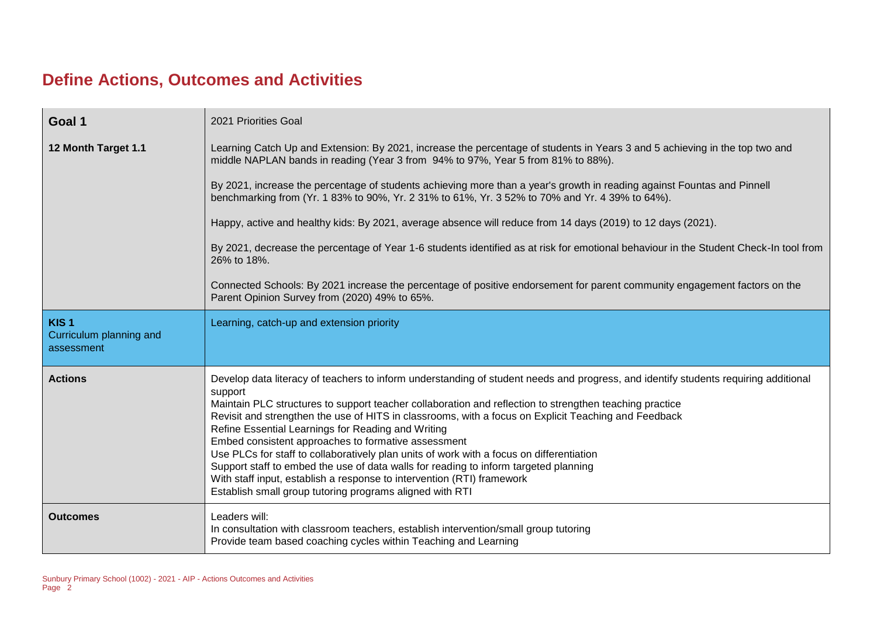# **Define Actions, Outcomes and Activities**

| Goal 1                                                    | 2021 Priorities Goal                                                                                                                                                                                                                                                                                                                                                                                                                                                                                                                                                                                                                                                                                                                                                                                     |
|-----------------------------------------------------------|----------------------------------------------------------------------------------------------------------------------------------------------------------------------------------------------------------------------------------------------------------------------------------------------------------------------------------------------------------------------------------------------------------------------------------------------------------------------------------------------------------------------------------------------------------------------------------------------------------------------------------------------------------------------------------------------------------------------------------------------------------------------------------------------------------|
| 12 Month Target 1.1                                       | Learning Catch Up and Extension: By 2021, increase the percentage of students in Years 3 and 5 achieving in the top two and<br>middle NAPLAN bands in reading (Year 3 from 94% to 97%, Year 5 from 81% to 88%).                                                                                                                                                                                                                                                                                                                                                                                                                                                                                                                                                                                          |
|                                                           | By 2021, increase the percentage of students achieving more than a year's growth in reading against Fountas and Pinnell<br>benchmarking from (Yr. 1 83% to 90%, Yr. 2 31% to 61%, Yr. 3 52% to 70% and Yr. 4 39% to 64%).                                                                                                                                                                                                                                                                                                                                                                                                                                                                                                                                                                                |
|                                                           | Happy, active and healthy kids: By 2021, average absence will reduce from 14 days (2019) to 12 days (2021).                                                                                                                                                                                                                                                                                                                                                                                                                                                                                                                                                                                                                                                                                              |
|                                                           | By 2021, decrease the percentage of Year 1-6 students identified as at risk for emotional behaviour in the Student Check-In tool from<br>26% to 18%.                                                                                                                                                                                                                                                                                                                                                                                                                                                                                                                                                                                                                                                     |
|                                                           | Connected Schools: By 2021 increase the percentage of positive endorsement for parent community engagement factors on the<br>Parent Opinion Survey from (2020) 49% to 65%.                                                                                                                                                                                                                                                                                                                                                                                                                                                                                                                                                                                                                               |
| KIS <sub>1</sub><br>Curriculum planning and<br>assessment | Learning, catch-up and extension priority                                                                                                                                                                                                                                                                                                                                                                                                                                                                                                                                                                                                                                                                                                                                                                |
| <b>Actions</b>                                            | Develop data literacy of teachers to inform understanding of student needs and progress, and identify students requiring additional<br>support<br>Maintain PLC structures to support teacher collaboration and reflection to strengthen teaching practice<br>Revisit and strengthen the use of HITS in classrooms, with a focus on Explicit Teaching and Feedback<br>Refine Essential Learnings for Reading and Writing<br>Embed consistent approaches to formative assessment<br>Use PLCs for staff to collaboratively plan units of work with a focus on differentiation<br>Support staff to embed the use of data walls for reading to inform targeted planning<br>With staff input, establish a response to intervention (RTI) framework<br>Establish small group tutoring programs aligned with RTI |
| <b>Outcomes</b>                                           | Leaders will:<br>In consultation with classroom teachers, establish intervention/small group tutoring<br>Provide team based coaching cycles within Teaching and Learning                                                                                                                                                                                                                                                                                                                                                                                                                                                                                                                                                                                                                                 |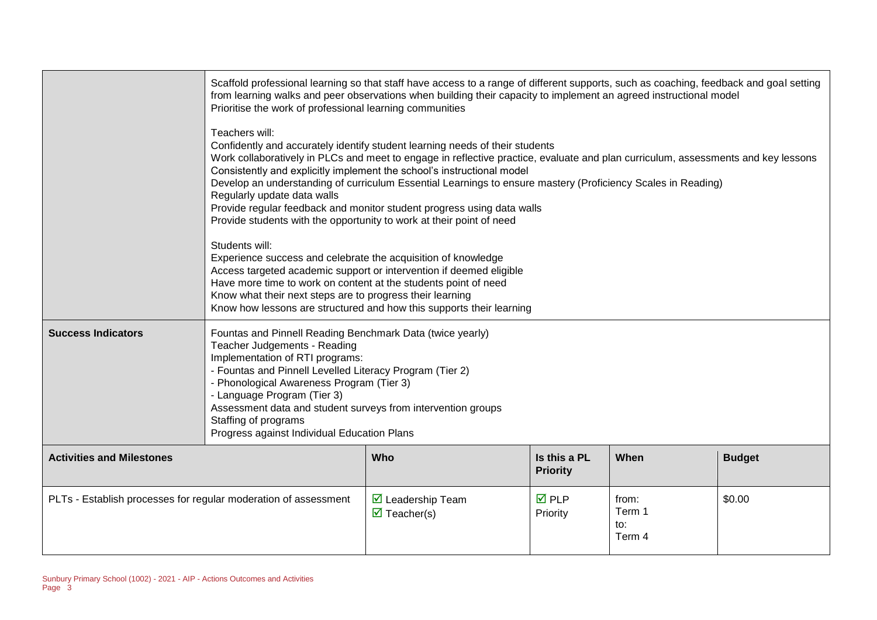|                                                                                                                                                                                                                   | Scaffold professional learning so that staff have access to a range of different supports, such as coaching, feedback and goal setting<br>from learning walks and peer observations when building their capacity to implement an agreed instructional model<br>Prioritise the work of professional learning communities                                                                                                                                                                                                                                                                                                                                                                                                                                                                                                                                                                                  |  |  |  |  |
|-------------------------------------------------------------------------------------------------------------------------------------------------------------------------------------------------------------------|----------------------------------------------------------------------------------------------------------------------------------------------------------------------------------------------------------------------------------------------------------------------------------------------------------------------------------------------------------------------------------------------------------------------------------------------------------------------------------------------------------------------------------------------------------------------------------------------------------------------------------------------------------------------------------------------------------------------------------------------------------------------------------------------------------------------------------------------------------------------------------------------------------|--|--|--|--|
|                                                                                                                                                                                                                   | Teachers will:<br>Confidently and accurately identify student learning needs of their students<br>Work collaboratively in PLCs and meet to engage in reflective practice, evaluate and plan curriculum, assessments and key lessons<br>Consistently and explicitly implement the school's instructional model<br>Develop an understanding of curriculum Essential Learnings to ensure mastery (Proficiency Scales in Reading)<br>Regularly update data walls<br>Provide regular feedback and monitor student progress using data walls<br>Provide students with the opportunity to work at their point of need<br>Students will:<br>Experience success and celebrate the acquisition of knowledge<br>Access targeted academic support or intervention if deemed eligible<br>Have more time to work on content at the students point of need<br>Know what their next steps are to progress their learning |  |  |  |  |
| <b>Success Indicators</b>                                                                                                                                                                                         | Know how lessons are structured and how this supports their learning<br>Fountas and Pinnell Reading Benchmark Data (twice yearly)<br>Teacher Judgements - Reading<br>Implementation of RTI programs:<br>- Fountas and Pinnell Levelled Literacy Program (Tier 2)<br>- Phonological Awareness Program (Tier 3)                                                                                                                                                                                                                                                                                                                                                                                                                                                                                                                                                                                            |  |  |  |  |
|                                                                                                                                                                                                                   | - Language Program (Tier 3)<br>Assessment data and student surveys from intervention groups<br>Staffing of programs<br>Progress against Individual Education Plans                                                                                                                                                                                                                                                                                                                                                                                                                                                                                                                                                                                                                                                                                                                                       |  |  |  |  |
| <b>Activities and Milestones</b>                                                                                                                                                                                  | Is this a PL<br>When<br><b>Budget</b><br>Who<br><b>Priority</b>                                                                                                                                                                                                                                                                                                                                                                                                                                                                                                                                                                                                                                                                                                                                                                                                                                          |  |  |  |  |
| \$0.00<br>PLTs - Establish processes for regular moderation of assessment<br>$\overline{M}$ PLP<br>$\triangleright$ Leadership Team<br>from:<br>Term 1<br>$\triangledown$ Teacher(s)<br>Priority<br>to:<br>Term 4 |                                                                                                                                                                                                                                                                                                                                                                                                                                                                                                                                                                                                                                                                                                                                                                                                                                                                                                          |  |  |  |  |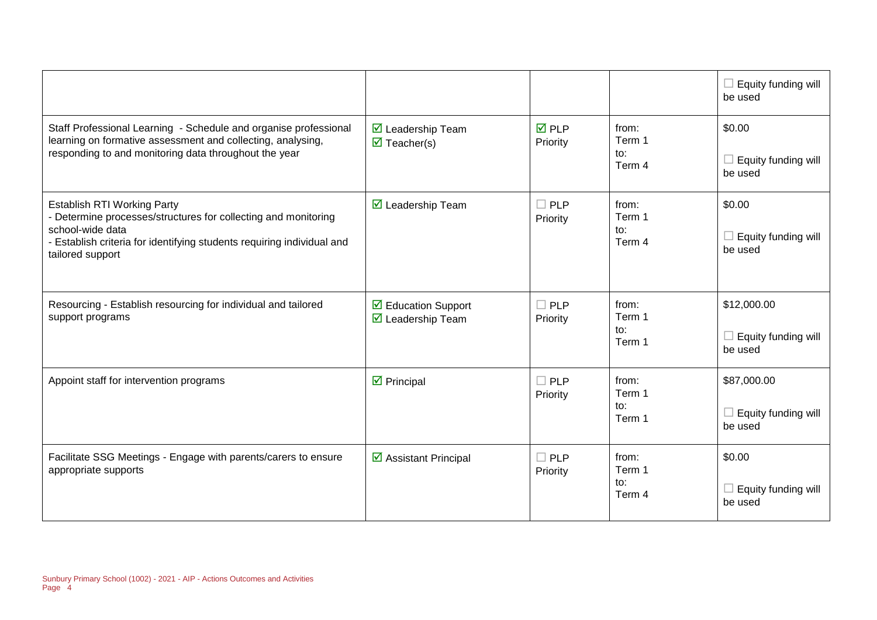|                                                                                                                                                                                                                      |                                                                               |                          |                                             | Equity funding will<br>be used                |
|----------------------------------------------------------------------------------------------------------------------------------------------------------------------------------------------------------------------|-------------------------------------------------------------------------------|--------------------------|---------------------------------------------|-----------------------------------------------|
| Staff Professional Learning - Schedule and organise professional<br>learning on formative assessment and collecting, analysing,<br>responding to and monitoring data throughout the year                             | <b>Ø</b> Leadership Team<br>$\overline{\mathbf{M}}$ Teacher(s)                | <b>☑</b> PLP<br>Priority | from:<br>Term 1<br>to:<br>Term 4            | \$0.00<br>Equity funding will<br>be used      |
| <b>Establish RTI Working Party</b><br>Determine processes/structures for collecting and monitoring<br>school-wide data<br>- Establish criteria for identifying students requiring individual and<br>tailored support | $\triangledown$ Leadership Team                                               | $\Box$ PLP<br>Priority   | from:<br>Term 1<br>to:<br>Term 4            | \$0.00<br>Equity funding will<br>be used      |
| Resourcing - Establish resourcing for individual and tailored<br>support programs                                                                                                                                    | $\triangleright$ Education Support<br>$\overline{\mathbf{M}}$ Leadership Team | $\Box$ PLP<br>Priority   | from:<br>Term 1<br>to:<br>Term 1            | \$12,000.00<br>Equity funding will<br>be used |
| Appoint staff for intervention programs                                                                                                                                                                              | $\triangleright$ Principal                                                    | $\Box$ PLP<br>Priority   | from:<br>Term 1<br>$\mathsf{to}:$<br>Term 1 | \$87,000.00<br>Equity funding will<br>be used |
| Facilitate SSG Meetings - Engage with parents/carers to ensure<br>appropriate supports                                                                                                                               | ☑ Assistant Principal                                                         | $\Box$ PLP<br>Priority   | from:<br>Term 1<br>to:<br>Term 4            | \$0.00<br>Equity funding will<br>be used      |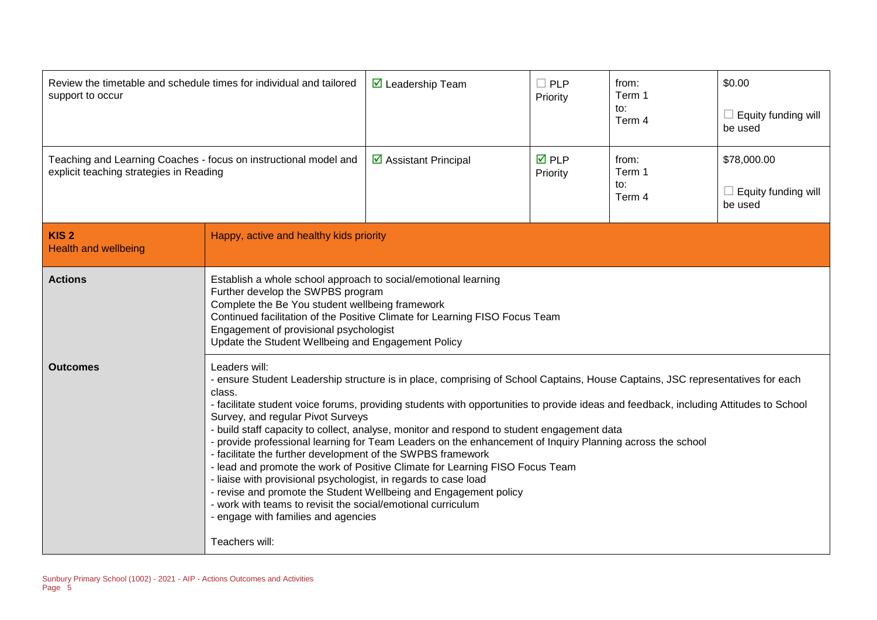| Review the timetable and schedule times for individual and tailored<br>support to occur                     |                                                                                                                                                                                                                                                                                                                                                                                                                                                                                                                                                                                                                                                                                                                                                                                                                                                                                                                                                                   | $\triangledown$ Leadership Team | $\Box$ PLP<br>Priority   | from:<br>Term 1<br>to:<br>Term 4 | \$0.00<br>$\Box$ Equity funding will<br>be used |
|-------------------------------------------------------------------------------------------------------------|-------------------------------------------------------------------------------------------------------------------------------------------------------------------------------------------------------------------------------------------------------------------------------------------------------------------------------------------------------------------------------------------------------------------------------------------------------------------------------------------------------------------------------------------------------------------------------------------------------------------------------------------------------------------------------------------------------------------------------------------------------------------------------------------------------------------------------------------------------------------------------------------------------------------------------------------------------------------|---------------------------------|--------------------------|----------------------------------|-------------------------------------------------|
| Teaching and Learning Coaches - focus on instructional model and<br>explicit teaching strategies in Reading |                                                                                                                                                                                                                                                                                                                                                                                                                                                                                                                                                                                                                                                                                                                                                                                                                                                                                                                                                                   | ☑ Assistant Principal           | <b>☑</b> PLP<br>Priority | from:<br>Term 1<br>to:<br>Term 4 | \$78,000.00<br>Equity funding will<br>be used   |
| KIS <sub>2</sub><br><b>Health and wellbeing</b>                                                             | Happy, active and healthy kids priority                                                                                                                                                                                                                                                                                                                                                                                                                                                                                                                                                                                                                                                                                                                                                                                                                                                                                                                           |                                 |                          |                                  |                                                 |
| <b>Actions</b>                                                                                              | Establish a whole school approach to social/emotional learning<br>Further develop the SWPBS program<br>Complete the Be You student wellbeing framework<br>Continued facilitation of the Positive Climate for Learning FISO Focus Team<br>Engagement of provisional psychologist<br>Update the Student Wellbeing and Engagement Policy                                                                                                                                                                                                                                                                                                                                                                                                                                                                                                                                                                                                                             |                                 |                          |                                  |                                                 |
| <b>Outcomes</b>                                                                                             | Leaders will:<br>- ensure Student Leadership structure is in place, comprising of School Captains, House Captains, JSC representatives for each<br>class.<br>- facilitate student voice forums, providing students with opportunities to provide ideas and feedback, including Attitudes to School<br>Survey, and regular Pivot Surveys<br>- build staff capacity to collect, analyse, monitor and respond to student engagement data<br>- provide professional learning for Team Leaders on the enhancement of Inquiry Planning across the school<br>- facilitate the further development of the SWPBS framework<br>- lead and promote the work of Positive Climate for Learning FISO Focus Team<br>- liaise with provisional psychologist, in regards to case load<br>- revise and promote the Student Wellbeing and Engagement policy<br>- work with teams to revisit the social/emotional curriculum<br>- engage with families and agencies<br>Teachers will: |                                 |                          |                                  |                                                 |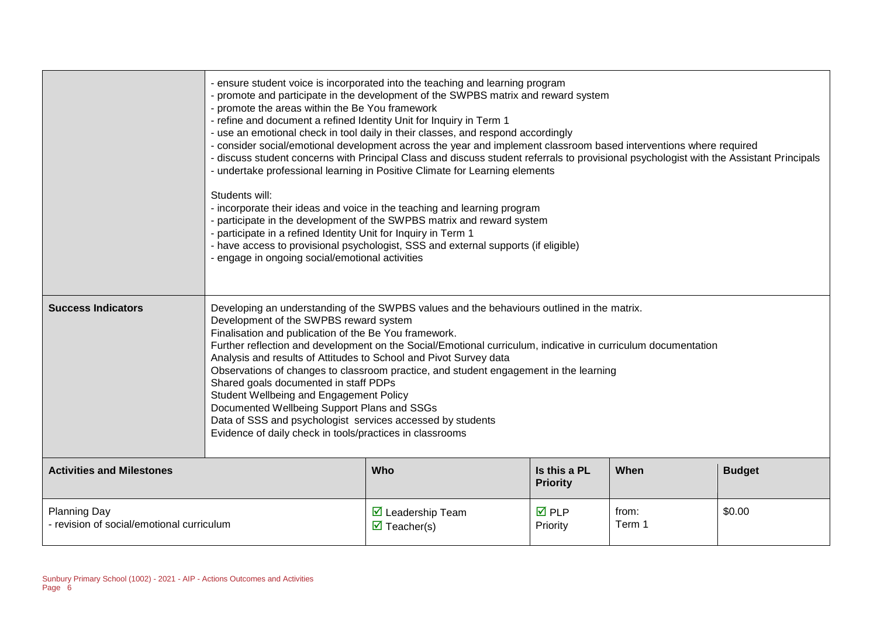|                                                                                                                                                                                                  | - ensure student voice is incorporated into the teaching and learning program<br>- promote and participate in the development of the SWPBS matrix and reward system<br>- promote the areas within the Be You framework<br>- refine and document a refined Identity Unit for Inquiry in Term 1<br>- use an emotional check in tool daily in their classes, and respond accordingly<br>- consider social/emotional development across the year and implement classroom based interventions where required<br>- discuss student concerns with Principal Class and discuss student referrals to provisional psychologist with the Assistant Principals<br>- undertake professional learning in Positive Climate for Learning elements<br>Students will:<br>- incorporate their ideas and voice in the teaching and learning program<br>- participate in the development of the SWPBS matrix and reward system<br>- participate in a refined Identity Unit for Inquiry in Term 1<br>- have access to provisional psychologist, SSS and external supports (if eligible)<br>- engage in ongoing social/emotional activities |  |  |  |  |
|--------------------------------------------------------------------------------------------------------------------------------------------------------------------------------------------------|----------------------------------------------------------------------------------------------------------------------------------------------------------------------------------------------------------------------------------------------------------------------------------------------------------------------------------------------------------------------------------------------------------------------------------------------------------------------------------------------------------------------------------------------------------------------------------------------------------------------------------------------------------------------------------------------------------------------------------------------------------------------------------------------------------------------------------------------------------------------------------------------------------------------------------------------------------------------------------------------------------------------------------------------------------------------------------------------------------------------|--|--|--|--|
| <b>Success Indicators</b>                                                                                                                                                                        | Developing an understanding of the SWPBS values and the behaviours outlined in the matrix.<br>Development of the SWPBS reward system<br>Finalisation and publication of the Be You framework.<br>Further reflection and development on the Social/Emotional curriculum, indicative in curriculum documentation<br>Analysis and results of Attitudes to School and Pivot Survey data<br>Observations of changes to classroom practice, and student engagement in the learning<br>Shared goals documented in staff PDPs<br>Student Wellbeing and Engagement Policy<br>Documented Wellbeing Support Plans and SSGs<br>Data of SSS and psychologist services accessed by students<br>Evidence of daily check in tools/practices in classrooms                                                                                                                                                                                                                                                                                                                                                                            |  |  |  |  |
| <b>Activities and Milestones</b>                                                                                                                                                                 | Who<br>Is this a PL<br>When<br><b>Budget</b><br><b>Priority</b>                                                                                                                                                                                                                                                                                                                                                                                                                                                                                                                                                                                                                                                                                                                                                                                                                                                                                                                                                                                                                                                      |  |  |  |  |
| <b>Planning Day</b><br>$\overline{M}$ PLP<br>\$0.00<br>$\triangledown$ Leadership Team<br>from:<br>- revision of social/emotional curriculum<br>Term 1<br>$\triangledown$ Teacher(s)<br>Priority |                                                                                                                                                                                                                                                                                                                                                                                                                                                                                                                                                                                                                                                                                                                                                                                                                                                                                                                                                                                                                                                                                                                      |  |  |  |  |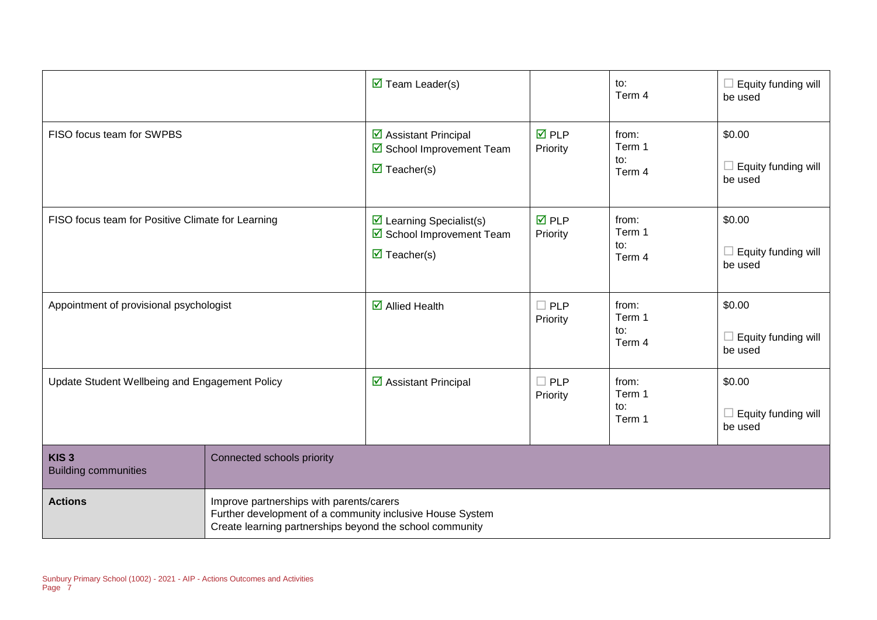|                                                   |                                                                                                                                                                   | $\overline{\mathbf{M}}$ Team Leader(s)                                                           |                                | to:<br>Term 4                    | $\Box$ Equity funding will<br>be used           |
|---------------------------------------------------|-------------------------------------------------------------------------------------------------------------------------------------------------------------------|--------------------------------------------------------------------------------------------------|--------------------------------|----------------------------------|-------------------------------------------------|
| FISO focus team for SWPBS                         |                                                                                                                                                                   | ☑ Assistant Principal<br>☑ School Improvement Team<br>$\triangledown$ Teacher(s)                 | $\overline{M}$ PLP<br>Priority | from:<br>Term 1<br>to:<br>Term 4 | \$0.00<br>$\Box$ Equity funding will<br>be used |
| FISO focus team for Positive Climate for Learning |                                                                                                                                                                   | $\triangleright$ Learning Specialist(s)<br>School Improvement Team<br>$\triangledown$ Teacher(s) | $\overline{M}$ PLP<br>Priority | from:<br>Term 1<br>to:<br>Term 4 | \$0.00<br>$\Box$ Equity funding will<br>be used |
| Appointment of provisional psychologist           |                                                                                                                                                                   | $\overline{\mathbf{z}}$ Allied Health                                                            | $\Box$ PLP<br>Priority         | from:<br>Term 1<br>to:<br>Term 4 | \$0.00<br>$\Box$ Equity funding will<br>be used |
| Update Student Wellbeing and Engagement Policy    |                                                                                                                                                                   | ☑ Assistant Principal                                                                            | $\Box$ PLP<br>Priority         | from:<br>Term 1<br>to:<br>Term 1 | \$0.00<br>$\Box$ Equity funding will<br>be used |
| KIS <sub>3</sub><br><b>Building communities</b>   | Connected schools priority                                                                                                                                        |                                                                                                  |                                |                                  |                                                 |
| <b>Actions</b>                                    | Improve partnerships with parents/carers<br>Further development of a community inclusive House System<br>Create learning partnerships beyond the school community |                                                                                                  |                                |                                  |                                                 |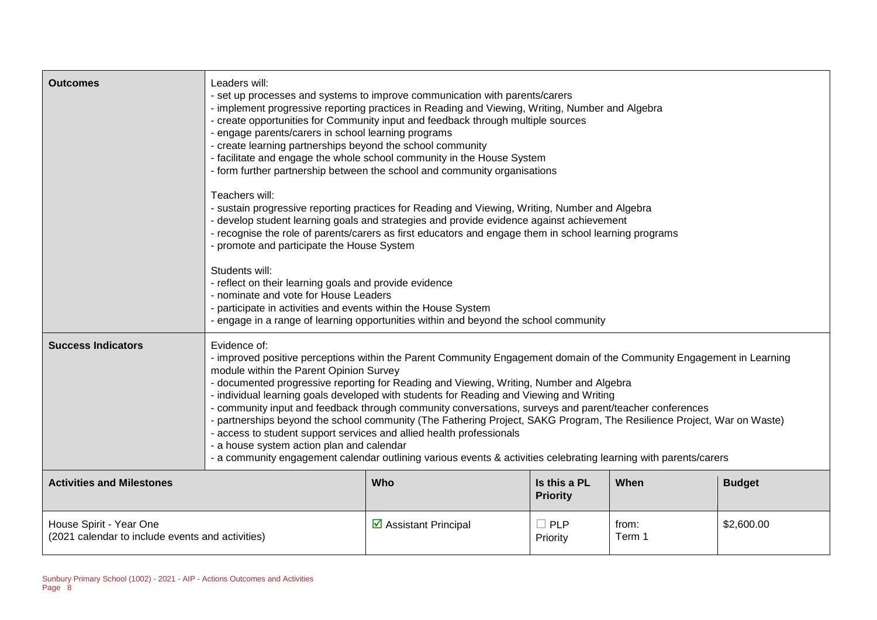| <b>Outcomes</b>                                                             | Leaders will:<br>- set up processes and systems to improve communication with parents/carers<br>- implement progressive reporting practices in Reading and Viewing, Writing, Number and Algebra<br>- create opportunities for Community input and feedback through multiple sources<br>- engage parents/carers in school learning programs<br>- create learning partnerships beyond the school community<br>- facilitate and engage the whole school community in the House System<br>- form further partnership between the school and community organisations<br>Teachers will:<br>- sustain progressive reporting practices for Reading and Viewing, Writing, Number and Algebra<br>- develop student learning goals and strategies and provide evidence against achievement<br>- recognise the role of parents/carers as first educators and engage them in school learning programs<br>- promote and participate the House System<br>Students will:<br>- reflect on their learning goals and provide evidence<br>- nominate and vote for House Leaders<br>- participate in activities and events within the House System<br>- engage in a range of learning opportunities within and beyond the school community |                                      |                                 |                 |               |
|-----------------------------------------------------------------------------|-----------------------------------------------------------------------------------------------------------------------------------------------------------------------------------------------------------------------------------------------------------------------------------------------------------------------------------------------------------------------------------------------------------------------------------------------------------------------------------------------------------------------------------------------------------------------------------------------------------------------------------------------------------------------------------------------------------------------------------------------------------------------------------------------------------------------------------------------------------------------------------------------------------------------------------------------------------------------------------------------------------------------------------------------------------------------------------------------------------------------------------------------------------------------------------------------------------------------|--------------------------------------|---------------------------------|-----------------|---------------|
| <b>Success Indicators</b>                                                   | Evidence of:<br>- improved positive perceptions within the Parent Community Engagement domain of the Community Engagement in Learning<br>module within the Parent Opinion Survey<br>- documented progressive reporting for Reading and Viewing, Writing, Number and Algebra<br>- individual learning goals developed with students for Reading and Viewing and Writing<br>- community input and feedback through community conversations, surveys and parent/teacher conferences<br>- partnerships beyond the school community (The Fathering Project, SAKG Program, The Resilience Project, War on Waste)<br>- access to student support services and allied health professionals<br>- a house system action plan and calendar<br>- a community engagement calendar outlining various events & activities celebrating learning with parents/carers                                                                                                                                                                                                                                                                                                                                                                   |                                      |                                 |                 |               |
| <b>Activities and Milestones</b>                                            |                                                                                                                                                                                                                                                                                                                                                                                                                                                                                                                                                                                                                                                                                                                                                                                                                                                                                                                                                                                                                                                                                                                                                                                                                       | Who                                  | Is this a PL<br><b>Priority</b> | When            | <b>Budget</b> |
| House Spirit - Year One<br>(2021 calendar to include events and activities) |                                                                                                                                                                                                                                                                                                                                                                                                                                                                                                                                                                                                                                                                                                                                                                                                                                                                                                                                                                                                                                                                                                                                                                                                                       | $\triangleright$ Assistant Principal | $\square$ PLP<br>Priority       | from:<br>Term 1 | \$2,600.00    |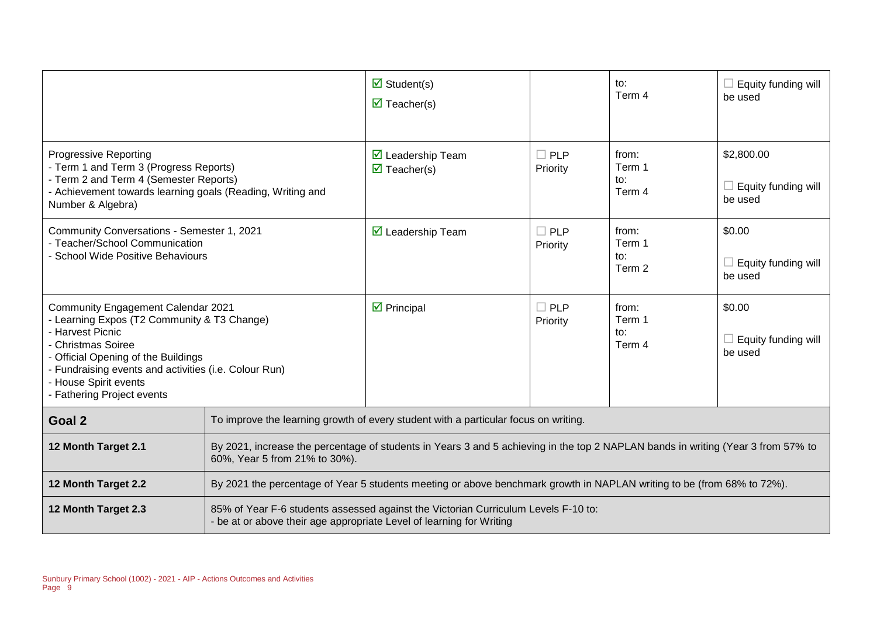|                                                                                                                                                                                                                                                                                    |                                                                                                                                                                   | $\overline{\mathbf{z}}$ Student(s)<br>$\overline{\mathbf{M}}$ Teacher(s)                                                                                   |                        | to:<br>Term 4                    | $\Box$ Equity funding will<br>be used               |  |
|------------------------------------------------------------------------------------------------------------------------------------------------------------------------------------------------------------------------------------------------------------------------------------|-------------------------------------------------------------------------------------------------------------------------------------------------------------------|------------------------------------------------------------------------------------------------------------------------------------------------------------|------------------------|----------------------------------|-----------------------------------------------------|--|
| <b>Progressive Reporting</b><br>- Term 1 and Term 3 (Progress Reports)<br>- Term 2 and Term 4 (Semester Reports)<br>- Achievement towards learning goals (Reading, Writing and<br>Number & Algebra)                                                                                |                                                                                                                                                                   | $\triangleright$ Leadership Team<br>$\triangledown$ Teacher(s)                                                                                             | $\Box$ PLP<br>Priority | from:<br>Term 1<br>to:<br>Term 4 | \$2,800.00<br>$\Box$ Equity funding will<br>be used |  |
| Community Conversations - Semester 1, 2021<br>- Teacher/School Communication<br>- School Wide Positive Behaviours                                                                                                                                                                  |                                                                                                                                                                   | $\triangleright$ Leadership Team                                                                                                                           | $\Box$ PLP<br>Priority | from:<br>Term 1<br>to:<br>Term 2 | \$0.00<br>$\Box$ Equity funding will<br>be used     |  |
| Community Engagement Calendar 2021<br>- Learning Expos (T2 Community & T3 Change)<br>- Harvest Picnic<br>- Christmas Soiree<br>- Official Opening of the Buildings<br>- Fundraising events and activities (i.e. Colour Run)<br>- House Spirit events<br>- Fathering Project events |                                                                                                                                                                   | $\triangleright$ Principal                                                                                                                                 | $\Box$ PLP<br>Priority | from:<br>Term 1<br>to:<br>Term 4 | \$0.00<br>$\Box$ Equity funding will<br>be used     |  |
| Goal 2                                                                                                                                                                                                                                                                             | To improve the learning growth of every student with a particular focus on writing.                                                                               |                                                                                                                                                            |                        |                                  |                                                     |  |
| 12 Month Target 2.1                                                                                                                                                                                                                                                                | By 2021, increase the percentage of students in Years 3 and 5 achieving in the top 2 NAPLAN bands in writing (Year 3 from 57% to<br>60%, Year 5 from 21% to 30%). |                                                                                                                                                            |                        |                                  |                                                     |  |
| 12 Month Target 2.2                                                                                                                                                                                                                                                                | By 2021 the percentage of Year 5 students meeting or above benchmark growth in NAPLAN writing to be (from 68% to 72%).                                            |                                                                                                                                                            |                        |                                  |                                                     |  |
| 12 Month Target 2.3                                                                                                                                                                                                                                                                |                                                                                                                                                                   | 85% of Year F-6 students assessed against the Victorian Curriculum Levels F-10 to:<br>- be at or above their age appropriate Level of learning for Writing |                        |                                  |                                                     |  |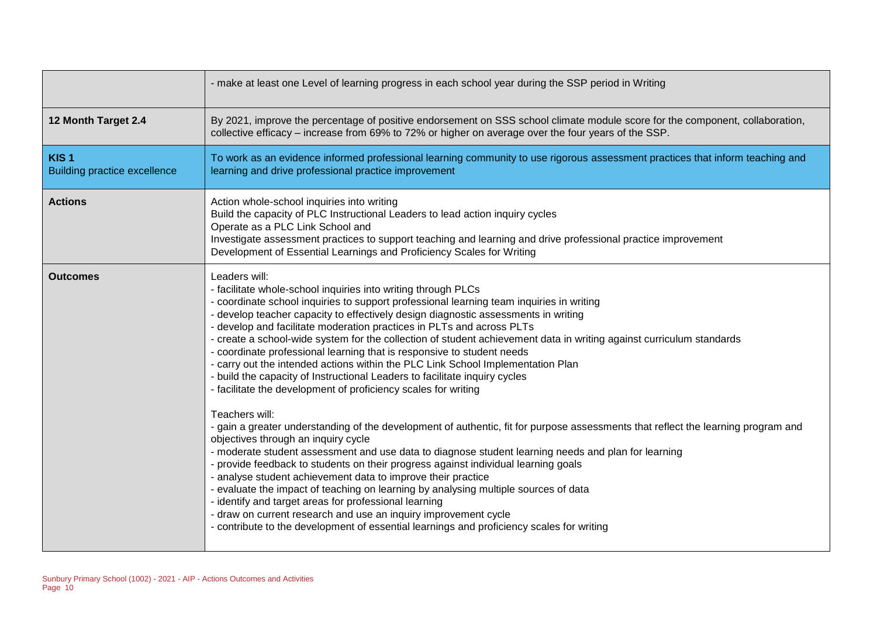|                                                         | - make at least one Level of learning progress in each school year during the SSP period in Writing                                                                                                                                                                                                                                                                                                                                                                                                                                                                                                                                                                                                                                                                                                                                                                                                                                                                                                                                                                                                                                                                                                                                                                                                                                                                                                                                                                                                                                                       |
|---------------------------------------------------------|-----------------------------------------------------------------------------------------------------------------------------------------------------------------------------------------------------------------------------------------------------------------------------------------------------------------------------------------------------------------------------------------------------------------------------------------------------------------------------------------------------------------------------------------------------------------------------------------------------------------------------------------------------------------------------------------------------------------------------------------------------------------------------------------------------------------------------------------------------------------------------------------------------------------------------------------------------------------------------------------------------------------------------------------------------------------------------------------------------------------------------------------------------------------------------------------------------------------------------------------------------------------------------------------------------------------------------------------------------------------------------------------------------------------------------------------------------------------------------------------------------------------------------------------------------------|
| 12 Month Target 2.4                                     | By 2021, improve the percentage of positive endorsement on SSS school climate module score for the component, collaboration,<br>collective efficacy - increase from 69% to 72% or higher on average over the four years of the SSP.                                                                                                                                                                                                                                                                                                                                                                                                                                                                                                                                                                                                                                                                                                                                                                                                                                                                                                                                                                                                                                                                                                                                                                                                                                                                                                                       |
| KIS <sub>1</sub><br><b>Building practice excellence</b> | To work as an evidence informed professional learning community to use rigorous assessment practices that inform teaching and<br>learning and drive professional practice improvement                                                                                                                                                                                                                                                                                                                                                                                                                                                                                                                                                                                                                                                                                                                                                                                                                                                                                                                                                                                                                                                                                                                                                                                                                                                                                                                                                                     |
| <b>Actions</b>                                          | Action whole-school inquiries into writing<br>Build the capacity of PLC Instructional Leaders to lead action inquiry cycles<br>Operate as a PLC Link School and<br>Investigate assessment practices to support teaching and learning and drive professional practice improvement<br>Development of Essential Learnings and Proficiency Scales for Writing                                                                                                                                                                                                                                                                                                                                                                                                                                                                                                                                                                                                                                                                                                                                                                                                                                                                                                                                                                                                                                                                                                                                                                                                 |
| <b>Outcomes</b>                                         | Leaders will:<br>- facilitate whole-school inquiries into writing through PLCs<br>- coordinate school inquiries to support professional learning team inquiries in writing<br>- develop teacher capacity to effectively design diagnostic assessments in writing<br>- develop and facilitate moderation practices in PLTs and across PLTs<br>- create a school-wide system for the collection of student achievement data in writing against curriculum standards<br>- coordinate professional learning that is responsive to student needs<br>- carry out the intended actions within the PLC Link School Implementation Plan<br>- build the capacity of Instructional Leaders to facilitate inquiry cycles<br>- facilitate the development of proficiency scales for writing<br>Teachers will:<br>- gain a greater understanding of the development of authentic, fit for purpose assessments that reflect the learning program and<br>objectives through an inquiry cycle<br>- moderate student assessment and use data to diagnose student learning needs and plan for learning<br>- provide feedback to students on their progress against individual learning goals<br>- analyse student achievement data to improve their practice<br>- evaluate the impact of teaching on learning by analysing multiple sources of data<br>- identify and target areas for professional learning<br>- draw on current research and use an inquiry improvement cycle<br>- contribute to the development of essential learnings and proficiency scales for writing |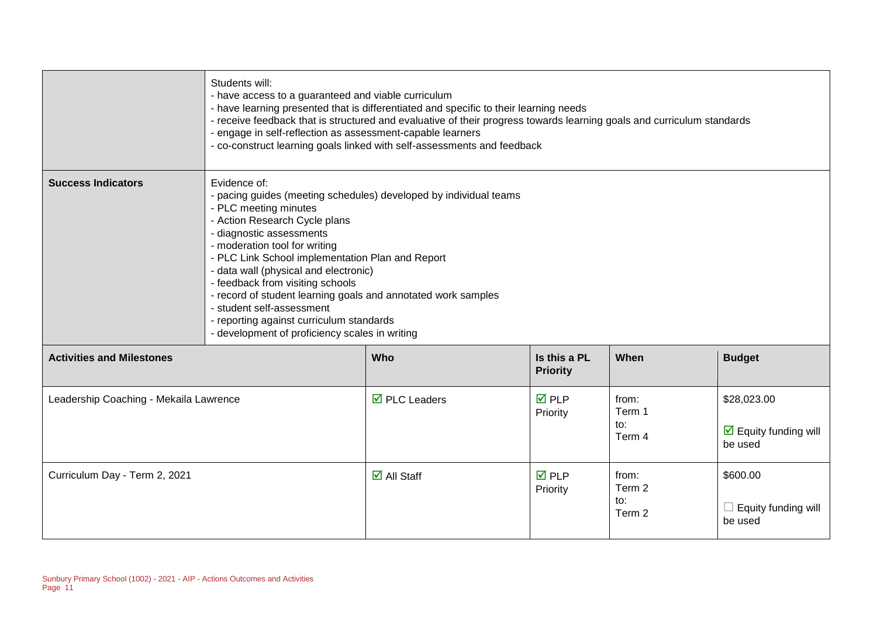|                                        | Students will:<br>- have access to a guaranteed and viable curriculum<br>- have learning presented that is differentiated and specific to their learning needs<br>- receive feedback that is structured and evaluative of their progress towards learning goals and curriculum standards<br>- engage in self-reflection as assessment-capable learners<br>- co-construct learning goals linked with self-assessments and feedback                                                                                                     |                                    |                                 |                                  |                                                                       |
|----------------------------------------|---------------------------------------------------------------------------------------------------------------------------------------------------------------------------------------------------------------------------------------------------------------------------------------------------------------------------------------------------------------------------------------------------------------------------------------------------------------------------------------------------------------------------------------|------------------------------------|---------------------------------|----------------------------------|-----------------------------------------------------------------------|
| <b>Success Indicators</b>              | Evidence of:<br>- pacing guides (meeting schedules) developed by individual teams<br>- PLC meeting minutes<br>- Action Research Cycle plans<br>- diagnostic assessments<br>- moderation tool for writing<br>- PLC Link School implementation Plan and Report<br>- data wall (physical and electronic)<br>- feedback from visiting schools<br>- record of student learning goals and annotated work samples<br>- student self-assessment<br>- reporting against curriculum standards<br>- development of proficiency scales in writing |                                    |                                 |                                  |                                                                       |
| <b>Activities and Milestones</b>       |                                                                                                                                                                                                                                                                                                                                                                                                                                                                                                                                       | <b>Who</b>                         | Is this a PL<br><b>Priority</b> | When                             | <b>Budget</b>                                                         |
| Leadership Coaching - Mekaila Lawrence |                                                                                                                                                                                                                                                                                                                                                                                                                                                                                                                                       | $\overline{\boxtimes}$ PLC Leaders | $\overline{M}$ PLP<br>Priority  | from:<br>Term 1<br>to:<br>Term 4 | \$28,023.00<br>$\overline{\mathbf{M}}$ Equity funding will<br>be used |
| Curriculum Day - Term 2, 2021          |                                                                                                                                                                                                                                                                                                                                                                                                                                                                                                                                       | $\overline{\mathbf{z}}$ All Staff  | $\overline{M}$ PLP<br>Priority  | from:<br>Term 2<br>to:<br>Term 2 | \$600.00<br>Equity funding will<br>be used                            |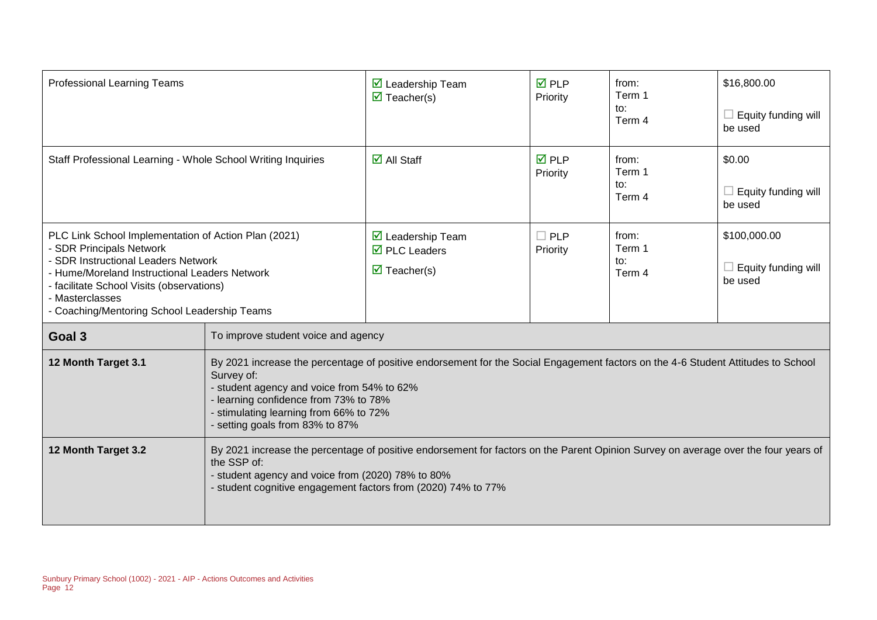| <b>Professional Learning Teams</b>                                                                                                                                                                                                                                                       |                                                                                                                                                                                                                                                                                                                    | $\triangledown$ Leadership Team<br>$\overline{\mathbf{M}}$ Teacher(s)                                               | <b>☑</b> PLP<br>Priority | from:<br>Term 1<br>to:<br>Term 4 | \$16,800.00<br>$\Box$ Equity funding will<br>be used |
|------------------------------------------------------------------------------------------------------------------------------------------------------------------------------------------------------------------------------------------------------------------------------------------|--------------------------------------------------------------------------------------------------------------------------------------------------------------------------------------------------------------------------------------------------------------------------------------------------------------------|---------------------------------------------------------------------------------------------------------------------|--------------------------|----------------------------------|------------------------------------------------------|
| Staff Professional Learning - Whole School Writing Inquiries                                                                                                                                                                                                                             |                                                                                                                                                                                                                                                                                                                    | $\overline{\mathbf{M}}$ All Staff                                                                                   | <b>☑</b> PLP<br>Priority | from:<br>Term 1<br>to:<br>Term 4 | \$0.00<br>Equity funding will<br>be used             |
| PLC Link School Implementation of Action Plan (2021)<br>- SDR Principals Network<br>- SDR Instructional Leaders Network<br>- Hume/Moreland Instructional Leaders Network<br>- facilitate School Visits (observations)<br>- Masterclasses<br>- Coaching/Mentoring School Leadership Teams |                                                                                                                                                                                                                                                                                                                    | $\overline{\mathbf{M}}$ Leadership Team<br>$\overline{\boxtimes}$ PLC Leaders<br>$\overline{\mathbf{M}}$ Teacher(s) | $\Box$ PLP<br>Priority   | from:<br>Term 1<br>to:<br>Term 4 | \$100,000.00<br>Equity funding will<br>be used       |
| Goal 3                                                                                                                                                                                                                                                                                   | To improve student voice and agency                                                                                                                                                                                                                                                                                |                                                                                                                     |                          |                                  |                                                      |
| 12 Month Target 3.1                                                                                                                                                                                                                                                                      | By 2021 increase the percentage of positive endorsement for the Social Engagement factors on the 4-6 Student Attitudes to School<br>Survey of:<br>- student agency and voice from 54% to 62%<br>- learning confidence from 73% to 78%<br>- stimulating learning from 66% to 72%<br>- setting goals from 83% to 87% |                                                                                                                     |                          |                                  |                                                      |
| 12 Month Target 3.2                                                                                                                                                                                                                                                                      | By 2021 increase the percentage of positive endorsement for factors on the Parent Opinion Survey on average over the four years of<br>the SSP of:<br>- student agency and voice from (2020) 78% to 80%<br>- student cognitive engagement factors from (2020) 74% to 77%                                            |                                                                                                                     |                          |                                  |                                                      |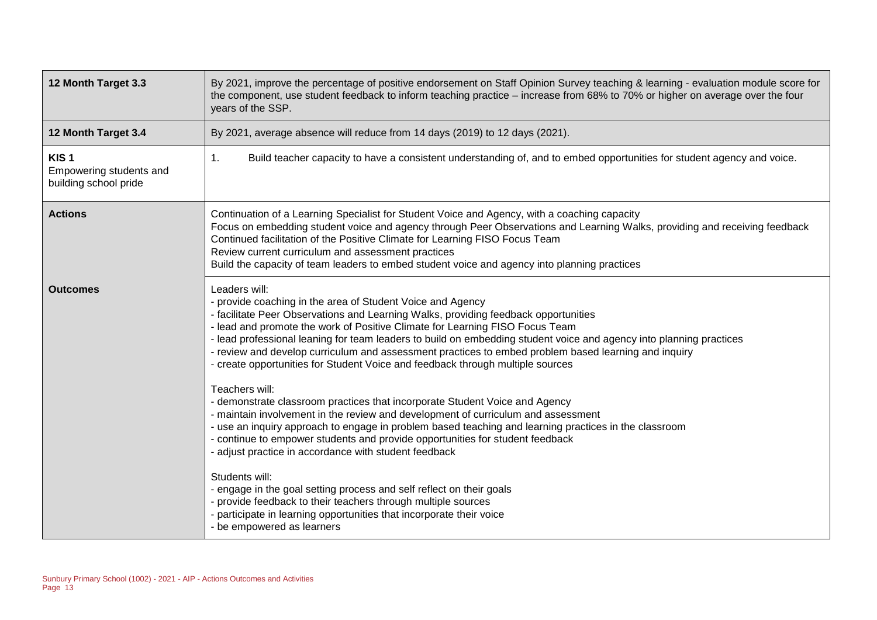| 12 Month Target 3.3                                                  | By 2021, improve the percentage of positive endorsement on Staff Opinion Survey teaching & learning - evaluation module score for<br>the component, use student feedback to inform teaching practice – increase from 68% to 70% or higher on average over the four<br>years of the SSP.                                                                                                                                                                                                                                                                                                                                                                                                                                                                                                                                                                                                                                                                                                                                                                                                                                                                                                                                                                                       |
|----------------------------------------------------------------------|-------------------------------------------------------------------------------------------------------------------------------------------------------------------------------------------------------------------------------------------------------------------------------------------------------------------------------------------------------------------------------------------------------------------------------------------------------------------------------------------------------------------------------------------------------------------------------------------------------------------------------------------------------------------------------------------------------------------------------------------------------------------------------------------------------------------------------------------------------------------------------------------------------------------------------------------------------------------------------------------------------------------------------------------------------------------------------------------------------------------------------------------------------------------------------------------------------------------------------------------------------------------------------|
| 12 Month Target 3.4                                                  | By 2021, average absence will reduce from 14 days (2019) to 12 days (2021).                                                                                                                                                                                                                                                                                                                                                                                                                                                                                                                                                                                                                                                                                                                                                                                                                                                                                                                                                                                                                                                                                                                                                                                                   |
| KIS <sub>1</sub><br>Empowering students and<br>building school pride | Build teacher capacity to have a consistent understanding of, and to embed opportunities for student agency and voice.<br>1.                                                                                                                                                                                                                                                                                                                                                                                                                                                                                                                                                                                                                                                                                                                                                                                                                                                                                                                                                                                                                                                                                                                                                  |
| <b>Actions</b>                                                       | Continuation of a Learning Specialist for Student Voice and Agency, with a coaching capacity<br>Focus on embedding student voice and agency through Peer Observations and Learning Walks, providing and receiving feedback<br>Continued facilitation of the Positive Climate for Learning FISO Focus Team<br>Review current curriculum and assessment practices<br>Build the capacity of team leaders to embed student voice and agency into planning practices                                                                                                                                                                                                                                                                                                                                                                                                                                                                                                                                                                                                                                                                                                                                                                                                               |
| <b>Outcomes</b>                                                      | Leaders will:<br>- provide coaching in the area of Student Voice and Agency<br>- facilitate Peer Observations and Learning Walks, providing feedback opportunities<br>- lead and promote the work of Positive Climate for Learning FISO Focus Team<br>- lead professional leaning for team leaders to build on embedding student voice and agency into planning practices<br>- review and develop curriculum and assessment practices to embed problem based learning and inquiry<br>- create opportunities for Student Voice and feedback through multiple sources<br>Teachers will:<br>- demonstrate classroom practices that incorporate Student Voice and Agency<br>- maintain involvement in the review and development of curriculum and assessment<br>- use an inquiry approach to engage in problem based teaching and learning practices in the classroom<br>- continue to empower students and provide opportunities for student feedback<br>- adjust practice in accordance with student feedback<br>Students will:<br>- engage in the goal setting process and self reflect on their goals<br>- provide feedback to their teachers through multiple sources<br>- participate in learning opportunities that incorporate their voice<br>- be empowered as learners |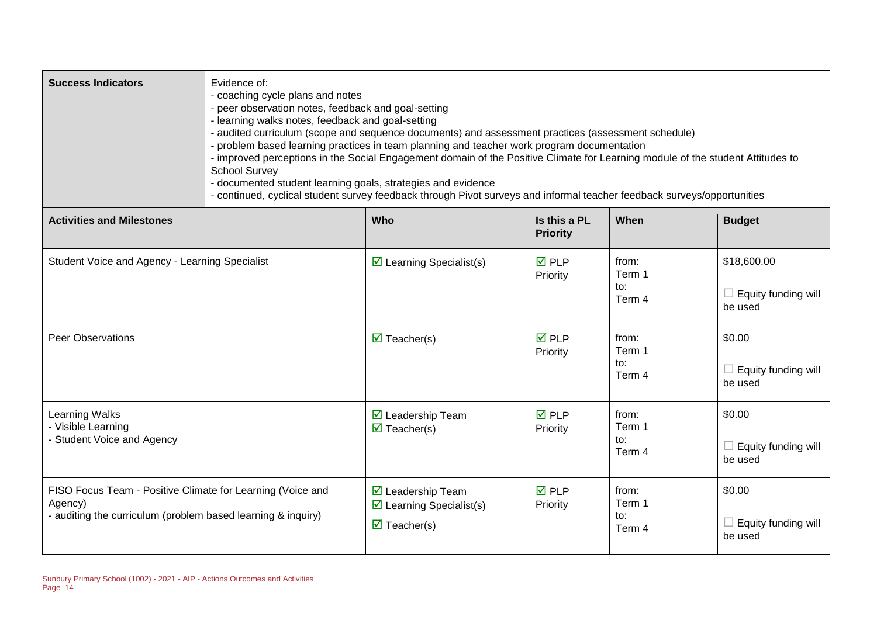| <b>Success Indicators</b>                                                                                                             | Evidence of:<br>- coaching cycle plans and notes<br>- peer observation notes, feedback and goal-setting<br>- learning walks notes, feedback and goal-setting<br>- audited curriculum (scope and sequence documents) and assessment practices (assessment schedule)<br>- problem based learning practices in team planning and teacher work program documentation<br>- improved perceptions in the Social Engagement domain of the Positive Climate for Learning module of the student Attitudes to<br><b>School Survey</b><br>- documented student learning goals, strategies and evidence<br>- continued, cyclical student survey feedback through Pivot surveys and informal teacher feedback surveys/opportunities |                                                                                                                   |                                 |                                  |                                                      |
|---------------------------------------------------------------------------------------------------------------------------------------|-----------------------------------------------------------------------------------------------------------------------------------------------------------------------------------------------------------------------------------------------------------------------------------------------------------------------------------------------------------------------------------------------------------------------------------------------------------------------------------------------------------------------------------------------------------------------------------------------------------------------------------------------------------------------------------------------------------------------|-------------------------------------------------------------------------------------------------------------------|---------------------------------|----------------------------------|------------------------------------------------------|
| <b>Activities and Milestones</b>                                                                                                      |                                                                                                                                                                                                                                                                                                                                                                                                                                                                                                                                                                                                                                                                                                                       | <b>Who</b>                                                                                                        | Is this a PL<br><b>Priority</b> | When                             | <b>Budget</b>                                        |
| Student Voice and Agency - Learning Specialist                                                                                        |                                                                                                                                                                                                                                                                                                                                                                                                                                                                                                                                                                                                                                                                                                                       | $\triangleright$ Learning Specialist(s)                                                                           | $\overline{M}$ PLP<br>Priority  | from:<br>Term 1<br>to:<br>Term 4 | \$18,600.00<br>$\Box$ Equity funding will<br>be used |
| <b>Peer Observations</b>                                                                                                              |                                                                                                                                                                                                                                                                                                                                                                                                                                                                                                                                                                                                                                                                                                                       | $\overline{\mathbf{M}}$ Teacher(s)                                                                                | <b>☑</b> PLP<br>Priority        | from:<br>Term 1<br>to:<br>Term 4 | \$0.00<br>$\Box$ Equity funding will<br>be used      |
| Learning Walks<br>- Visible Learning<br>- Student Voice and Agency                                                                    |                                                                                                                                                                                                                                                                                                                                                                                                                                                                                                                                                                                                                                                                                                                       | $\triangleright$ Leadership Team<br>$\triangledown$ Teacher(s)                                                    | <b>☑</b> PLP<br>Priority        | from:<br>Term 1<br>to:<br>Term 4 | \$0.00<br>$\Box$ Equity funding will<br>be used      |
| FISO Focus Team - Positive Climate for Learning (Voice and<br>Agency)<br>- auditing the curriculum (problem based learning & inquiry) |                                                                                                                                                                                                                                                                                                                                                                                                                                                                                                                                                                                                                                                                                                                       | $\triangleright$ Leadership Team<br>$\triangleright$ Learning Specialist(s)<br>$\overline{\mathbf{M}}$ Teacher(s) | <b>☑</b> PLP<br>Priority        | from:<br>Term 1<br>to:<br>Term 4 | \$0.00<br>$\Box$ Equity funding will<br>be used      |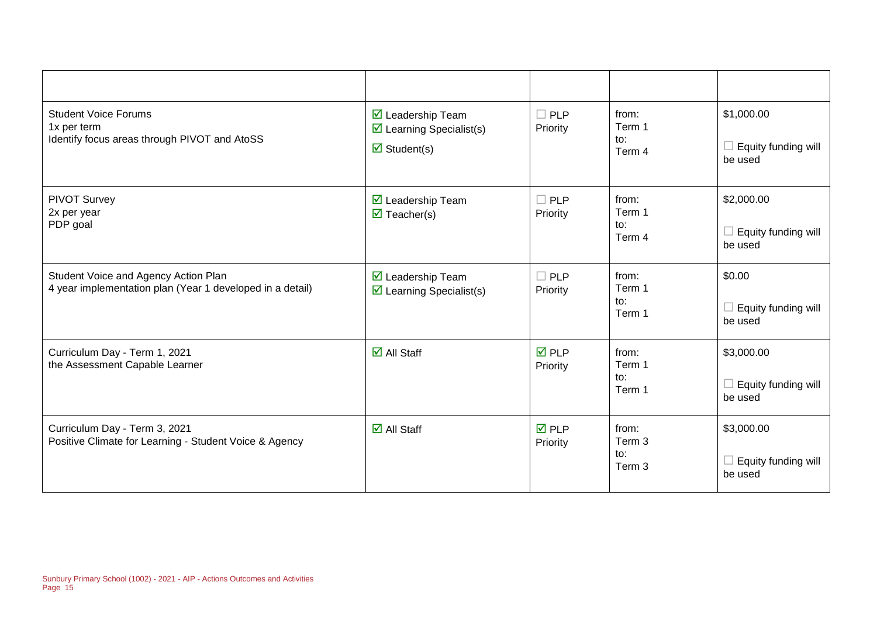| <b>Student Voice Forums</b><br>1x per term<br>Identify focus areas through PIVOT and AtoSS        | $\overline{\mathbf{y}}$ Leadership Team<br>$\triangleright$ Learning Specialist(s)<br>$\triangledown$ Student(s) | $\Box$ PLP<br>Priority         | from:<br>Term 1<br>to:<br>Term 4 | \$1,000.00<br>Equity funding will<br>be used |
|---------------------------------------------------------------------------------------------------|------------------------------------------------------------------------------------------------------------------|--------------------------------|----------------------------------|----------------------------------------------|
| <b>PIVOT Survey</b><br>2x per year<br>PDP goal                                                    | $\triangledown$ Leadership Team<br>$\triangledown$ Teacher(s)                                                    | $\Box$ PLP<br>Priority         | from:<br>Term 1<br>to:<br>Term 4 | \$2,000.00<br>Equity funding will<br>be used |
| Student Voice and Agency Action Plan<br>4 year implementation plan (Year 1 developed in a detail) | $\triangleright$ Leadership Team<br>$\triangleright$ Learning Specialist(s)                                      | $\Box$ PLP<br>Priority         | from:<br>Term 1<br>to:<br>Term 1 | \$0.00<br>Equity funding will<br>be used     |
| Curriculum Day - Term 1, 2021<br>the Assessment Capable Learner                                   | $\overline{\mathsf{d}}$ All Staff                                                                                | <b>ØPLP</b><br>Priority        | from:<br>Term 1<br>to:<br>Term 1 | \$3,000.00<br>Equity funding will<br>be used |
| Curriculum Day - Term 3, 2021<br>Positive Climate for Learning - Student Voice & Agency           | $\overline{\Box}$ All Staff                                                                                      | $\overline{M}$ PLP<br>Priority | from:<br>Term 3<br>to:<br>Term 3 | \$3,000.00<br>Equity funding will<br>be used |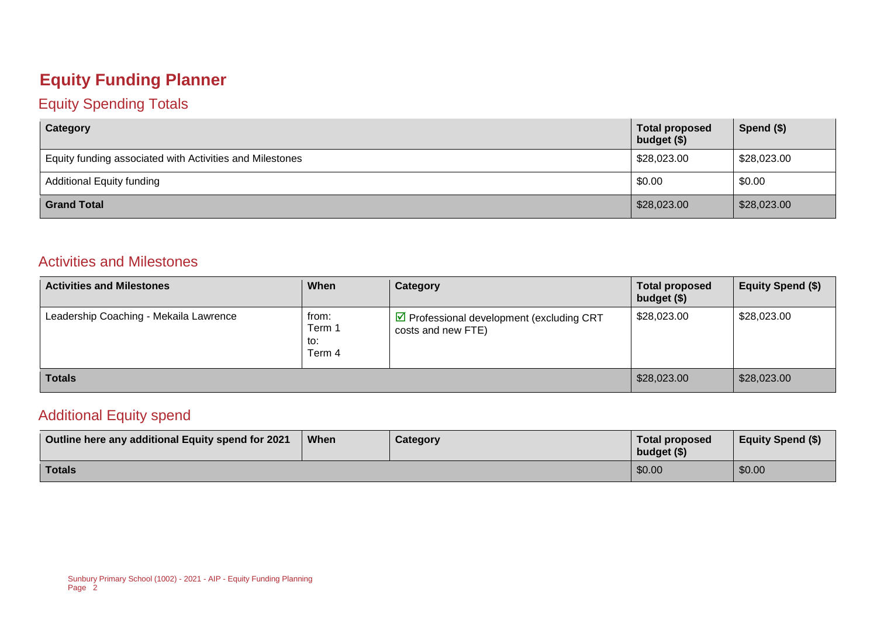### **Equity Funding Planner**

#### Equity Spending Totals

| Category                                                 | <b>Total proposed</b><br>budget (\$) | Spend $($)$ |
|----------------------------------------------------------|--------------------------------------|-------------|
| Equity funding associated with Activities and Milestones | \$28,023.00                          | \$28,023.00 |
| <b>Additional Equity funding</b>                         | \$0.00                               | \$0.00      |
| <b>Grand Total</b>                                       | \$28,023.00                          | \$28,023.00 |

#### Activities and Milestones

| <b>Activities and Milestones</b>       | When                             | Category                                                        | <b>Total proposed</b><br>budget (\$) | Equity Spend (\$) |
|----------------------------------------|----------------------------------|-----------------------------------------------------------------|--------------------------------------|-------------------|
| Leadership Coaching - Mekaila Lawrence | from:<br>Term 1<br>to:<br>Term 4 | ☑ Professional development (excluding CRT<br>costs and new FTE) | \$28,023.00                          | \$28,023.00       |
| <b>Totals</b>                          |                                  |                                                                 | \$28,023.00                          | \$28,023.00       |

#### Additional Equity spend

| Outline here any additional Equity spend for 2021 | When | Category | <b>Total proposed</b><br>budget $(\$)$ | <b>Equity Spend (\$)</b> |
|---------------------------------------------------|------|----------|----------------------------------------|--------------------------|
| <b>Totals</b>                                     |      |          | \$0.00                                 | \$0.00                   |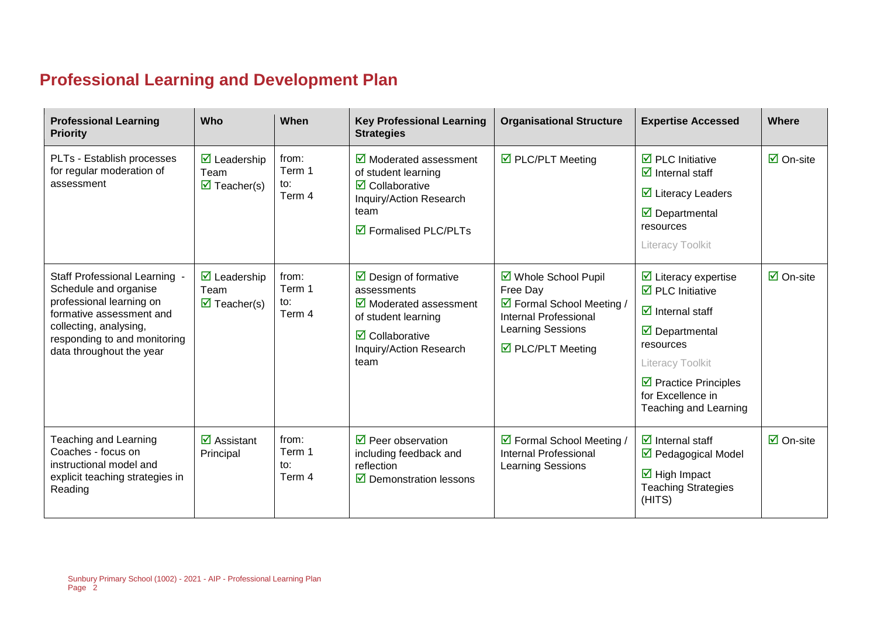# **Professional Learning and Development Plan**

| <b>Professional Learning</b><br><b>Priority</b>                                                                                                                                                      | Who                                                                              | When                                         | <b>Key Professional Learning</b><br><b>Strategies</b>                                                                                                                                      | <b>Organisational Structure</b>                                                                                                         | <b>Expertise Accessed</b>                                                                                                                                                                                                                                                             | Where                     |
|------------------------------------------------------------------------------------------------------------------------------------------------------------------------------------------------------|----------------------------------------------------------------------------------|----------------------------------------------|--------------------------------------------------------------------------------------------------------------------------------------------------------------------------------------------|-----------------------------------------------------------------------------------------------------------------------------------------|---------------------------------------------------------------------------------------------------------------------------------------------------------------------------------------------------------------------------------------------------------------------------------------|---------------------------|
| PLTs - Establish processes<br>for regular moderation of<br>assessment                                                                                                                                | $\triangleright$ Leadership<br>Team<br>$\triangledown$ Teacher(s)                | from:<br>Term 1<br>to:<br>Term 4             | $\boxtimes$ Moderated assessment<br>of student learning<br>$\triangledown$ Collaborative<br>Inquiry/Action Research<br>team<br>$\overline{\mathbf{2}}$ Formalised PLC/PLTs                 | ☑ PLC/PLT Meeting                                                                                                                       | $\overline{\mathbf{2}}$ PLC Initiative<br>$\overline{\mathbf{y}}$ Internal staff<br>$\overline{\mathbf{M}}$ Literacy Leaders<br>$\triangledown$ Departmental<br>resources<br>Literacy Toolkit                                                                                         | $\overline{\Box}$ On-site |
| Staff Professional Learning -<br>Schedule and organise<br>professional learning on<br>formative assessment and<br>collecting, analysing,<br>responding to and monitoring<br>data throughout the year | $\overline{\mathbf{z}}$ Leadership<br>Team<br>$\overline{\mathbf{M}}$ Teacher(s) | from:<br>Term 1<br>to:<br>Term 4             | $\triangleright$ Design of formative<br>assessments<br>$\boxtimes$ Moderated assessment<br>of student learning<br>$\overline{\mathbf{z}}$ Collaborative<br>Inquiry/Action Research<br>team | ☑ Whole School Pupil<br>Free Day<br>☑ Formal School Meeting /<br>Internal Professional<br><b>Learning Sessions</b><br>☑ PLC/PLT Meeting | $\triangleright$ Literacy expertise<br>$\overline{\mathbf{2}}$ PLC Initiative<br>$\overline{\mathbf{y}}$ Internal staff<br>$\triangledown$ Departmental<br>resources<br>Literacy Toolkit<br>$\triangleright$ Practice Principles<br>for Excellence in<br><b>Teaching and Learning</b> | $\overline{\Box}$ On-site |
| Teaching and Learning<br>Coaches - focus on<br>instructional model and<br>explicit teaching strategies in<br>Reading                                                                                 | $\overline{\mathbf{M}}$ Assistant<br>Principal                                   | from:<br>Term 1<br>$\mathsf{to}$ :<br>Term 4 | $\overline{\boxtimes}$ Peer observation<br>including feedback and<br>reflection<br>$\triangleright$ Demonstration lessons                                                                  | ☑ Formal School Meeting /<br><b>Internal Professional</b><br><b>Learning Sessions</b>                                                   | $\overline{\mathbf{d}}$ Internal staff<br>☑ Pedagogical Model<br>$\overline{\mathbf{M}}$ High Impact<br><b>Teaching Strategies</b><br>(HITS)                                                                                                                                          | $\overline{\Box}$ On-site |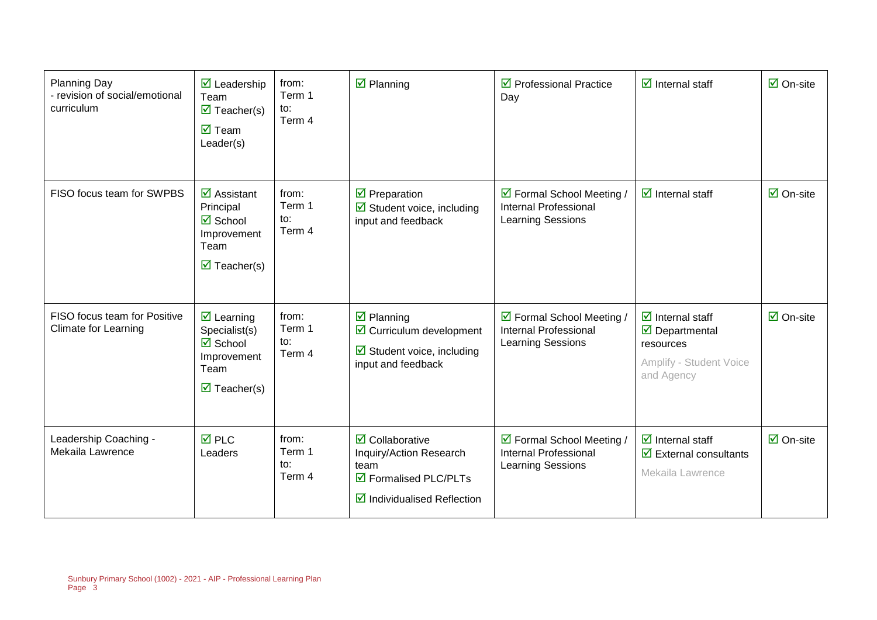| <b>Planning Day</b><br>- revision of social/emotional<br>curriculum | $\overline{\mathbf{M}}$ Leadership<br>Team<br>$\overline{\mathbf{M}}$ Teacher(s)<br>$\overline{\mathsf{M}}$ Team<br>Leader(s)                    | from:<br>Term 1<br>$\mathsf{to}:$<br>Term 4 | $\boxtimes$ Planning                                                                                                                | $\triangledown$ Professional Practice<br>Day                                          | $\boxdot$ Internal staff                                                                                                             | $\overline{\mathsf{M}}$ On-site |
|---------------------------------------------------------------------|--------------------------------------------------------------------------------------------------------------------------------------------------|---------------------------------------------|-------------------------------------------------------------------------------------------------------------------------------------|---------------------------------------------------------------------------------------|--------------------------------------------------------------------------------------------------------------------------------------|---------------------------------|
| FISO focus team for SWPBS                                           | $\overline{\mathbf{z}}$ Assistant<br>Principal<br>$\overline{\mathbf{z}}$ School<br>Improvement<br>Team<br>$\overline{\mathbf{z}}$ Teacher(s)    | from:<br>Term 1<br>to:<br>Term 4            | $\triangledown$ Preparation<br>Student voice, including<br>input and feedback                                                       | ☑ Formal School Meeting /<br><b>Internal Professional</b><br><b>Learning Sessions</b> | $\boxdot$ Internal staff                                                                                                             | $\overline{\boxtimes}$ On-site  |
| FISO focus team for Positive<br><b>Climate for Learning</b>         | $\overline{\mathbf{z}}$ Learning<br>Specialist(s)<br>$\overline{\mathbf{M}}$ School<br>Improvement<br>Team<br>$\overline{\mathbf{z}}$ Teacher(s) | from:<br>Term 1<br>to:<br>Term 4            | $\overline{\mathbf{z}}$ Planning<br>☑ Curriculum development<br>$\boxtimes$ Student voice, including<br>input and feedback          | ☑ Formal School Meeting /<br><b>Internal Professional</b><br>Learning Sessions        | $\overline{\mathbf{z}}$ Internal staff<br>$\overline{\mathbf{M}}$ Departmental<br>resources<br>Amplify - Student Voice<br>and Agency | $\overline{\mathsf{M}}$ On-site |
| Leadership Coaching -<br>Mekaila Lawrence                           | $\overline{M}$ PLC<br>Leaders                                                                                                                    | from:<br>Term 1<br>$\mathsf{to}:$<br>Term 4 | $\boxtimes$ Collaborative<br>Inquiry/Action Research<br>team<br>☑ Formalised PLC/PLTs<br>$\triangleright$ Individualised Reflection | ☑ Formal School Meeting /<br>Internal Professional<br>Learning Sessions               | $\overline{\mathbf{y}}$ Internal staff<br>$\overline{\mathbf{y}}$ External consultants<br>Mekaila Lawrence                           | $\overline{\Box}$ On-site       |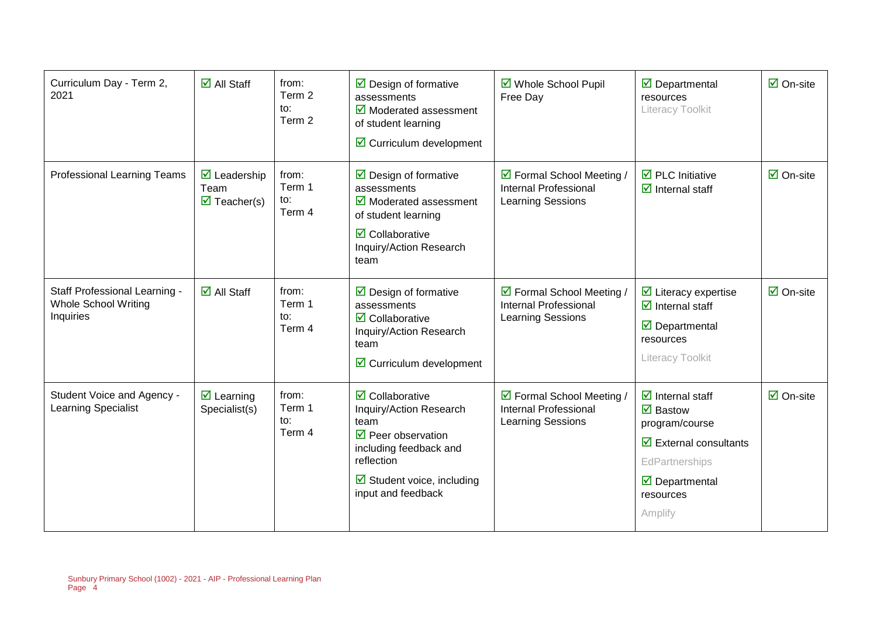| Curriculum Day - Term 2,<br>2021                                          | $\overline{\mathsf{M}}$ All Staff                                         | from:<br>Term 2<br>to:<br>Term 2 | $\triangleright$ Design of formative<br>assessments<br>$\boxtimes$ Moderated assessment<br>of student learning<br>☑ Curriculum development                                                                         | ☑ Whole School Pupil<br>Free Day                                                      | $\overline{\mathbf{M}}$ Departmental<br>resources<br>Literacy Toolkit                                                                                                                                                        | $\boxdot$ On-site               |
|---------------------------------------------------------------------------|---------------------------------------------------------------------------|----------------------------------|--------------------------------------------------------------------------------------------------------------------------------------------------------------------------------------------------------------------|---------------------------------------------------------------------------------------|------------------------------------------------------------------------------------------------------------------------------------------------------------------------------------------------------------------------------|---------------------------------|
| Professional Learning Teams                                               | $\triangleright$ Leadership<br>Team<br>$\overline{\mathbf{z}}$ Teacher(s) | from:<br>Term 1<br>to:<br>Term 4 | $\triangleright$ Design of formative<br>assessments<br>$\triangleright$ Moderated assessment<br>of student learning<br>$\overline{\mathbf{z}}$ Collaborative<br>Inquiry/Action Research<br>team                    | ☑ Formal School Meeting /<br><b>Internal Professional</b><br><b>Learning Sessions</b> | $\overline{\mathbf{M}}$ PLC Initiative<br>$\overline{\mathbf{z}}$ Internal staff                                                                                                                                             | $\overline{\mathsf{M}}$ On-site |
| Staff Professional Learning -<br><b>Whole School Writing</b><br>Inquiries | $\overline{\mathsf{M}}$ All Staff                                         | from:<br>Term 1<br>to:<br>Term 4 | $\triangleright$ Design of formative<br>assessments<br>$\overline{\mathbf{2}}$ Collaborative<br>Inquiry/Action Research<br>team<br>$\triangleright$ Curriculum development                                         | ☑ Formal School Meeting /<br><b>Internal Professional</b><br>Learning Sessions        | $\overline{\mathbf{y}}$ Literacy expertise<br>$\overline{\mathbf{z}}$ Internal staff<br>$\triangledown$ Departmental<br>resources<br>Literacy Toolkit                                                                        | $\overline{\Box}$ On-site       |
| Student Voice and Agency -<br><b>Learning Specialist</b>                  | $\overline{\mathbf{z}}$ Learning<br>Specialist(s)                         | from:<br>Term 1<br>to:<br>Term 4 | $\overline{\mathbf{2}}$ Collaborative<br>Inquiry/Action Research<br>team<br>$\triangledown$ Peer observation<br>including feedback and<br>reflection<br>$\boxtimes$ Student voice, including<br>input and feedback | ☑ Formal School Meeting /<br><b>Internal Professional</b><br>Learning Sessions        | $\overline{\mathbf{z}}$ Internal staff<br>$\overline{\mathbf{M}}$ Bastow<br>program/course<br>$\overline{\mathbf{y}}$ External consultants<br>EdPartnerships<br>$\overline{\mathbf{y}}$ Departmental<br>resources<br>Amplify | $\overline{\mathsf{M}}$ On-site |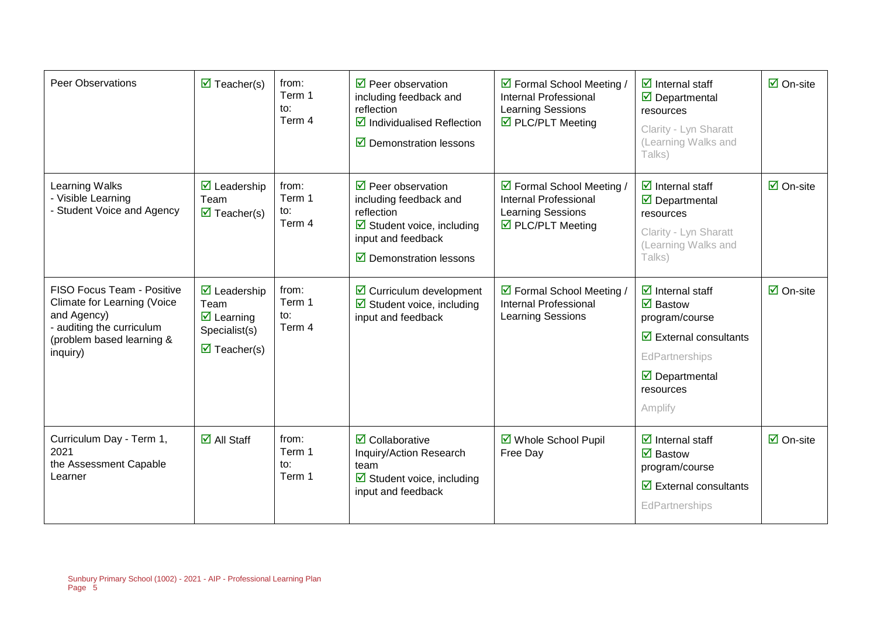| <b>Peer Observations</b>                                                                                                                              | $\overline{\mathbf{M}}$ Teacher(s)                                                                                                    | from:<br>Term 1<br>to:<br>Term 4 | $\triangledown$ Peer observation<br>including feedback and<br>reflection<br>$\triangledown$ Individualised Reflection<br>$\triangledown$ Demonstration lessons                  | ☑ Formal School Meeting /<br><b>Internal Professional</b><br><b>Learning Sessions</b><br>☑ PLC/PLT Meeting        | $\overline{\mathbf{y}}$ Internal staff<br>$\overline{\boxtimes}$ Departmental<br>resources<br>Clarity - Lyn Sharatt<br>(Learning Walks and<br>Talks)                                                   | $\overline{\Box}$ On-site       |
|-------------------------------------------------------------------------------------------------------------------------------------------------------|---------------------------------------------------------------------------------------------------------------------------------------|----------------------------------|---------------------------------------------------------------------------------------------------------------------------------------------------------------------------------|-------------------------------------------------------------------------------------------------------------------|--------------------------------------------------------------------------------------------------------------------------------------------------------------------------------------------------------|---------------------------------|
| Learning Walks<br>- Visible Learning<br>- Student Voice and Agency                                                                                    | $\overline{\mathbf{z}}$ Leadership<br>Team<br>$\overline{\mathbf{z}}$ Teacher(s)                                                      | from:<br>Term 1<br>to:<br>Term 4 | $\triangledown$ Peer observation<br>including feedback and<br>reflection<br>$\boxtimes$ Student voice, including<br>input and feedback<br>$\triangledown$ Demonstration lessons | ☑ Formal School Meeting /<br><b>Internal Professional</b><br>Learning Sessions<br>$\triangledown$ PLC/PLT Meeting | $\overline{\mathbf{d}}$ Internal staff<br>$\triangledown$ Departmental<br>resources<br>Clarity - Lyn Sharatt<br>(Learning Walks and<br>Talks)                                                          | $\overline{\mathsf{M}}$ On-site |
| FISO Focus Team - Positive<br><b>Climate for Learning (Voice</b><br>and Agency)<br>- auditing the curriculum<br>(problem based learning &<br>inquiry) | $\overline{\mathbf{2}}$ Leadership<br>Team<br>$\overline{\mathbf{M}}$ Learning<br>Specialist(s)<br>$\overline{\mathbf{z}}$ Teacher(s) | from:<br>Term 1<br>to:<br>Term 4 | $\boxtimes$ Curriculum development<br>$\boxtimes$ Student voice, including<br>input and feedback                                                                                | ☑ Formal School Meeting /<br><b>Internal Professional</b><br>Learning Sessions                                    | $\overline{\mathbf{z}}$ Internal staff<br>$\boxdot$ Bastow<br>program/course<br>$\overline{\mathbf{y}}$ External consultants<br>EdPartnerships<br>$\triangledown$ Departmental<br>resources<br>Amplify | $\overline{\boxtimes}$ On-site  |
| Curriculum Day - Term 1,<br>2021<br>the Assessment Capable<br>Learner                                                                                 | $\overline{\Box}$ All Staff                                                                                                           | from:<br>Term 1<br>to:<br>Term 1 | $\overline{\mathbf{z}}$ Collaborative<br>Inquiry/Action Research<br>team<br>$\boxtimes$ Student voice, including<br>input and feedback                                          | ☑ Whole School Pupil<br>Free Day                                                                                  | $\overline{\mathbf{z}}$ Internal staff<br>$\overline{\mathbf{M}}$ Bastow<br>program/course<br>$\overline{\mathbf{z}}$ External consultants<br>EdPartnerships                                           | $\overline{\Box}$ On-site       |